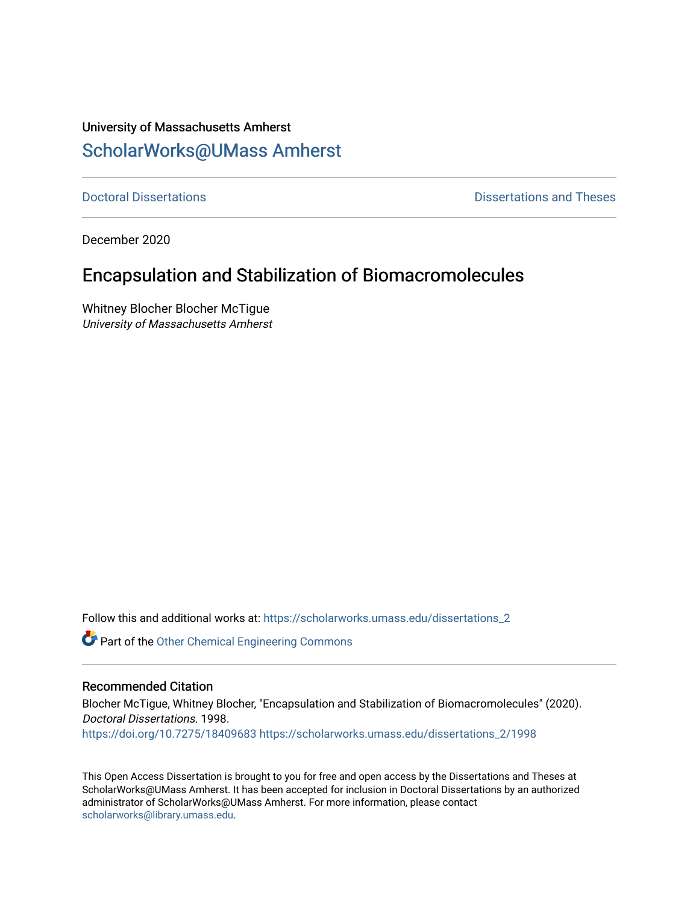# University of Massachusetts Amherst [ScholarWorks@UMass Amherst](https://scholarworks.umass.edu/)

**[Doctoral Dissertations](https://scholarworks.umass.edu/dissertations_2) Contract Contract Contract Contract Contract Contract Contract Contract Contract Contract Contract Contract Contract Contract Contract Contract Contract Contract Contract Contract Contract Contract** 

December 2020

## Encapsulation and Stabilization of Biomacromolecules

Whitney Blocher Blocher McTigue University of Massachusetts Amherst

Follow this and additional works at: [https://scholarworks.umass.edu/dissertations\\_2](https://scholarworks.umass.edu/dissertations_2?utm_source=scholarworks.umass.edu%2Fdissertations_2%2F1998&utm_medium=PDF&utm_campaign=PDFCoverPages)

Part of the [Other Chemical Engineering Commons](http://network.bepress.com/hgg/discipline/250?utm_source=scholarworks.umass.edu%2Fdissertations_2%2F1998&utm_medium=PDF&utm_campaign=PDFCoverPages) 

#### Recommended Citation

Blocher McTigue, Whitney Blocher, "Encapsulation and Stabilization of Biomacromolecules" (2020). Doctoral Dissertations. 1998. <https://doi.org/10.7275/18409683> [https://scholarworks.umass.edu/dissertations\\_2/1998](https://scholarworks.umass.edu/dissertations_2/1998?utm_source=scholarworks.umass.edu%2Fdissertations_2%2F1998&utm_medium=PDF&utm_campaign=PDFCoverPages)

This Open Access Dissertation is brought to you for free and open access by the Dissertations and Theses at ScholarWorks@UMass Amherst. It has been accepted for inclusion in Doctoral Dissertations by an authorized administrator of ScholarWorks@UMass Amherst. For more information, please contact [scholarworks@library.umass.edu.](mailto:scholarworks@library.umass.edu)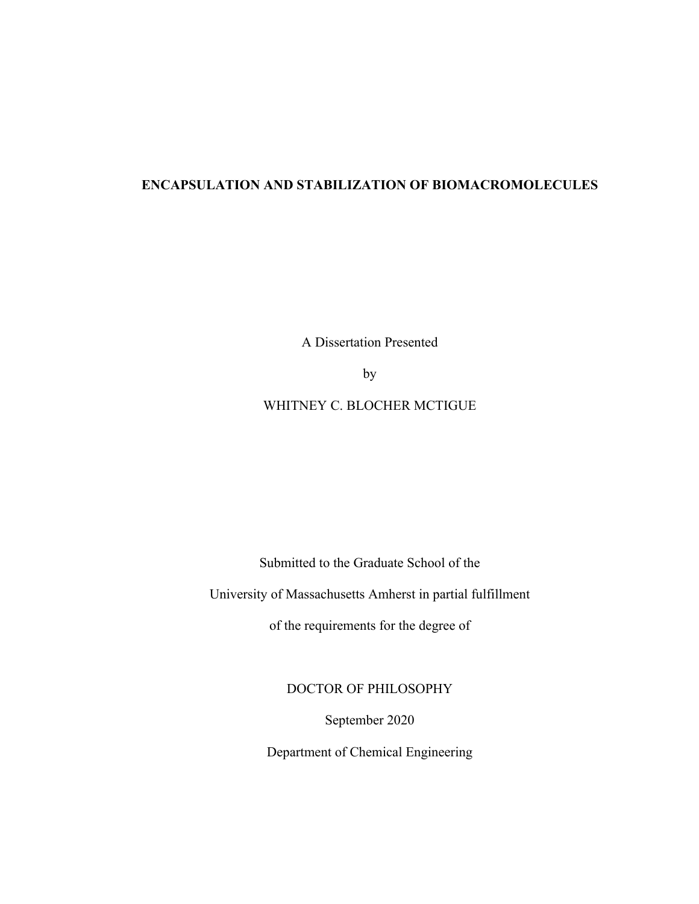### **ENCAPSULATION AND STABILIZATION OF BIOMACROMOLECULES**

A Dissertation Presented

by

#### WHITNEY C. BLOCHER MCTIGUE

Submitted to the Graduate School of the

University of Massachusetts Amherst in partial fulfillment

of the requirements for the degree of

DOCTOR OF PHILOSOPHY

September 2020

Department of Chemical Engineering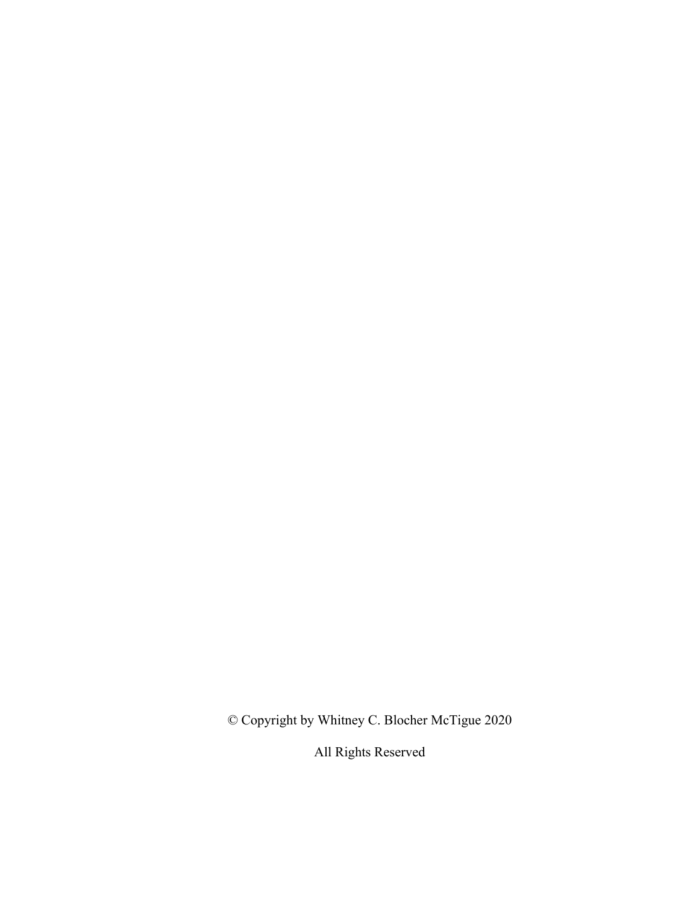© Copyright by Whitney C. Blocher McTigue 2020

All Rights Reserved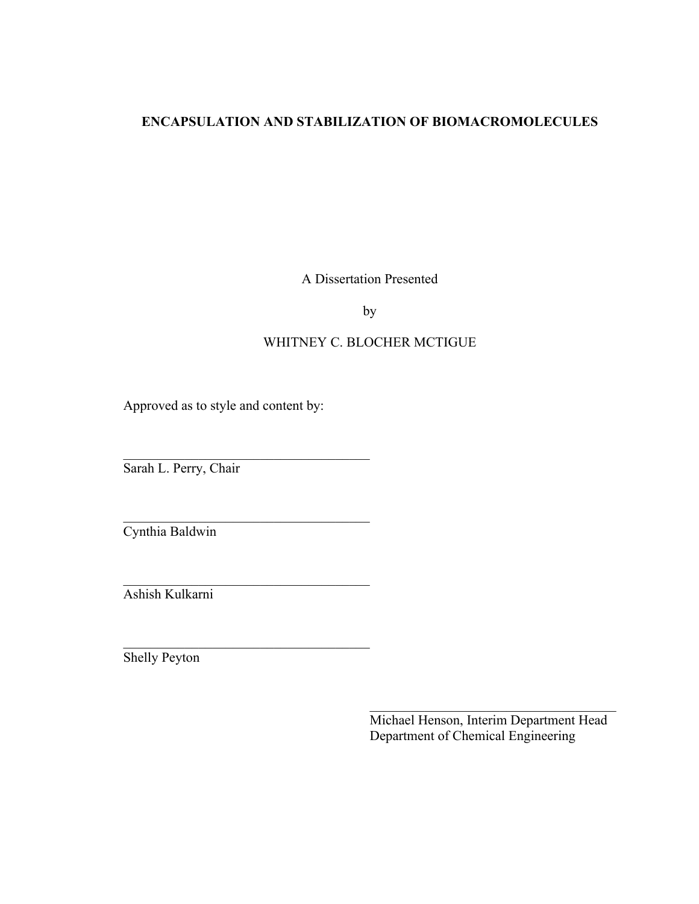## **ENCAPSULATION AND STABILIZATION OF BIOMACROMOLECULES**

A Dissertation Presented

by

## WHITNEY C. BLOCHER MCTIGUE

Approved as to style and content by:

 $\mathcal{L}_\text{max}$ 

 $\mathcal{L}_\text{max}$ 

 $\mathcal{L}_\text{max}$  , where  $\mathcal{L}_\text{max}$  and  $\mathcal{L}_\text{max}$  and  $\mathcal{L}_\text{max}$ 

 $\mathcal{L}_\text{max}$  , where  $\mathcal{L}_\text{max}$  and  $\mathcal{L}_\text{max}$  and  $\mathcal{L}_\text{max}$ 

Sarah L. Perry, Chair

Cynthia Baldwin

Ashish Kulkarni

Shelly Peyton

Michael Henson, Interim Department Head Department of Chemical Engineering

 $\mathcal{L}_\text{max}$  , where  $\mathcal{L}_\text{max}$  and  $\mathcal{L}_\text{max}$  and  $\mathcal{L}_\text{max}$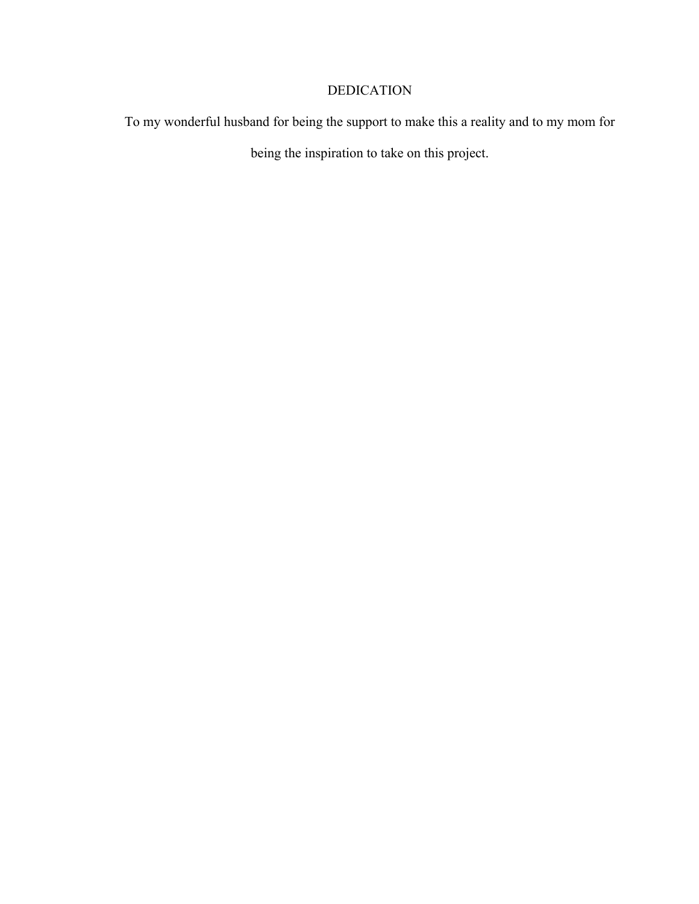## DEDICATION

To my wonderful husband for being the support to make this a reality and to my mom for being the inspiration to take on this project.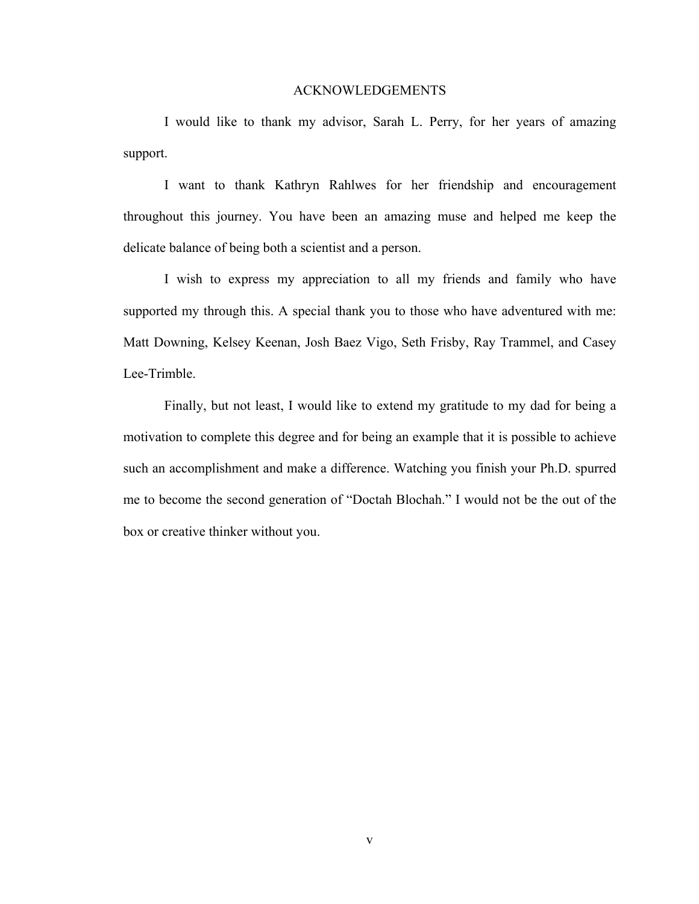#### ACKNOWLEDGEMENTS

I would like to thank my advisor, Sarah L. Perry, for her years of amazing support.

I want to thank Kathryn Rahlwes for her friendship and encouragement throughout this journey. You have been an amazing muse and helped me keep the delicate balance of being both a scientist and a person.

I wish to express my appreciation to all my friends and family who have supported my through this. A special thank you to those who have adventured with me: Matt Downing, Kelsey Keenan, Josh Baez Vigo, Seth Frisby, Ray Trammel, and Casey Lee-Trimble.

Finally, but not least, I would like to extend my gratitude to my dad for being a motivation to complete this degree and for being an example that it is possible to achieve such an accomplishment and make a difference. Watching you finish your Ph.D. spurred me to become the second generation of "Doctah Blochah." I would not be the out of the box or creative thinker without you.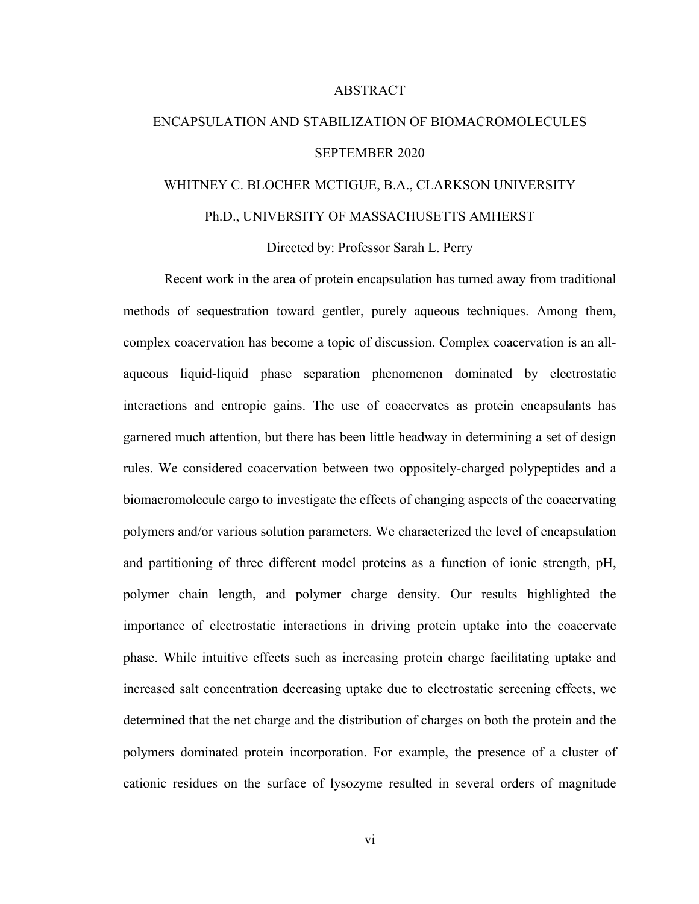#### ABSTRACT

# ENCAPSULATION AND STABILIZATION OF BIOMACROMOLECULES SEPTEMBER 2020

# WHITNEY C. BLOCHER MCTIGUE, B.A., CLARKSON UNIVERSITY Ph.D., UNIVERSITY OF MASSACHUSETTS AMHERST

#### Directed by: Professor Sarah L. Perry

Recent work in the area of protein encapsulation has turned away from traditional methods of sequestration toward gentler, purely aqueous techniques. Among them, complex coacervation has become a topic of discussion. Complex coacervation is an allaqueous liquid-liquid phase separation phenomenon dominated by electrostatic interactions and entropic gains. The use of coacervates as protein encapsulants has garnered much attention, but there has been little headway in determining a set of design rules. We considered coacervation between two oppositely-charged polypeptides and a biomacromolecule cargo to investigate the effects of changing aspects of the coacervating polymers and/or various solution parameters. We characterized the level of encapsulation and partitioning of three different model proteins as a function of ionic strength, pH, polymer chain length, and polymer charge density. Our results highlighted the importance of electrostatic interactions in driving protein uptake into the coacervate phase. While intuitive effects such as increasing protein charge facilitating uptake and increased salt concentration decreasing uptake due to electrostatic screening effects, we determined that the net charge and the distribution of charges on both the protein and the polymers dominated protein incorporation. For example, the presence of a cluster of cationic residues on the surface of lysozyme resulted in several orders of magnitude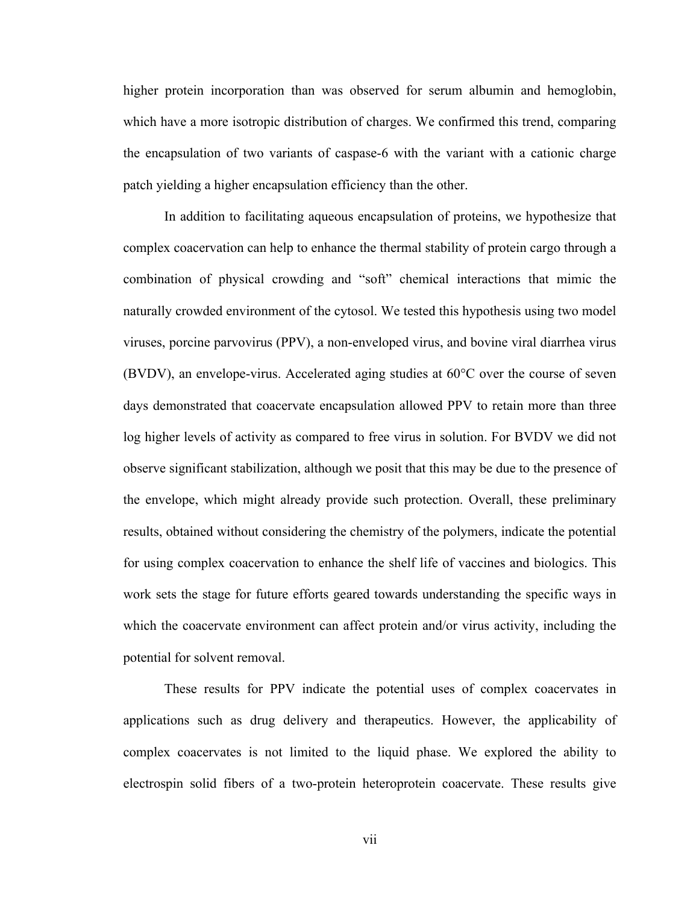higher protein incorporation than was observed for serum albumin and hemoglobin, which have a more isotropic distribution of charges. We confirmed this trend, comparing the encapsulation of two variants of caspase-6 with the variant with a cationic charge patch yielding a higher encapsulation efficiency than the other.

In addition to facilitating aqueous encapsulation of proteins, we hypothesize that complex coacervation can help to enhance the thermal stability of protein cargo through a combination of physical crowding and "soft" chemical interactions that mimic the naturally crowded environment of the cytosol. We tested this hypothesis using two model viruses, porcine parvovirus (PPV), a non-enveloped virus, and bovine viral diarrhea virus (BVDV), an envelope-virus. Accelerated aging studies at 60°C over the course of seven days demonstrated that coacervate encapsulation allowed PPV to retain more than three log higher levels of activity as compared to free virus in solution. For BVDV we did not observe significant stabilization, although we posit that this may be due to the presence of the envelope, which might already provide such protection. Overall, these preliminary results, obtained without considering the chemistry of the polymers, indicate the potential for using complex coacervation to enhance the shelf life of vaccines and biologics. This work sets the stage for future efforts geared towards understanding the specific ways in which the coacervate environment can affect protein and/or virus activity, including the potential for solvent removal.

These results for PPV indicate the potential uses of complex coacervates in applications such as drug delivery and therapeutics. However, the applicability of complex coacervates is not limited to the liquid phase. We explored the ability to electrospin solid fibers of a two-protein heteroprotein coacervate. These results give

vii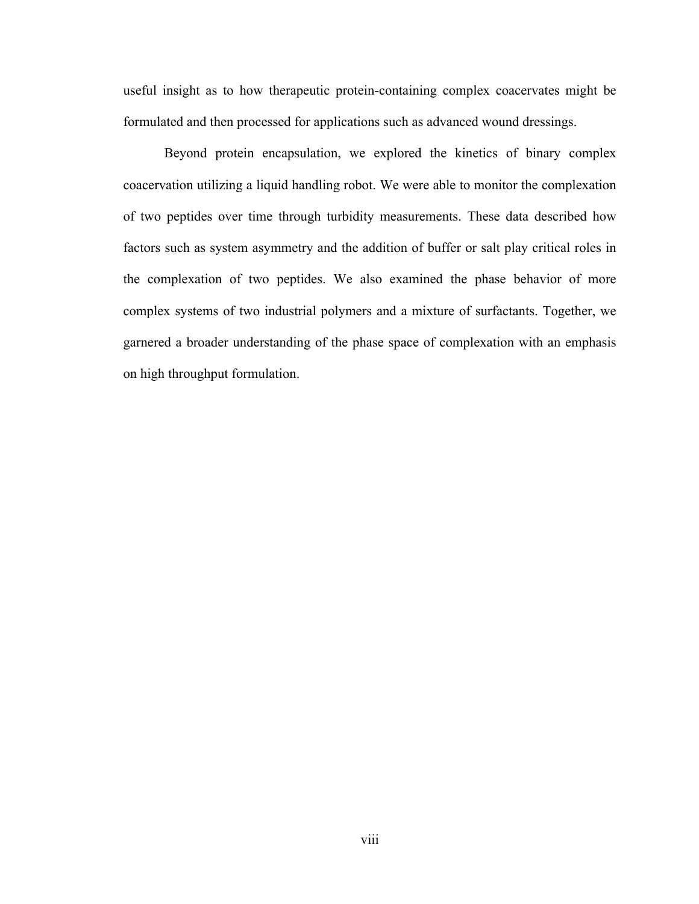useful insight as to how therapeutic protein-containing complex coacervates might be formulated and then processed for applications such as advanced wound dressings.

Beyond protein encapsulation, we explored the kinetics of binary complex coacervation utilizing a liquid handling robot. We were able to monitor the complexation of two peptides over time through turbidity measurements. These data described how factors such as system asymmetry and the addition of buffer or salt play critical roles in the complexation of two peptides. We also examined the phase behavior of more complex systems of two industrial polymers and a mixture of surfactants. Together, we garnered a broader understanding of the phase space of complexation with an emphasis on high throughput formulation.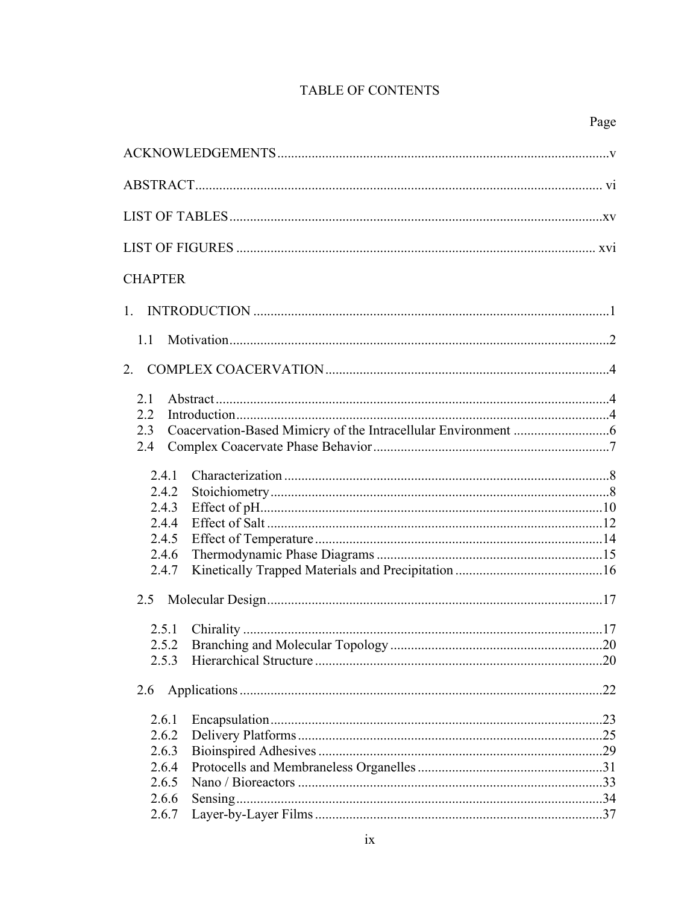## TABLE OF CONTENTS

| <b>CHAPTER</b> |     |
|----------------|-----|
|                |     |
| 1.1            |     |
| 2.             |     |
| 2.1            |     |
| 2.2            |     |
| 2.3            |     |
| 2.4            |     |
| 2.4.1          |     |
| 2.4.2          |     |
| 2.4.3          |     |
| 2.4.4          |     |
| 2.4.5          |     |
| 2.4.6          |     |
| 2.4.7          |     |
|                |     |
| 2.5            |     |
| 2.5.1          |     |
| 2.5.2          |     |
| 2.5.3          | .20 |
| 2.6            |     |
|                |     |
| 2.6.1          |     |
| 2.6.2<br>2.6.3 |     |
| 2.6.4          |     |
| 2.6.5          |     |
| 2.6.6          |     |
| 2.6.7          |     |
|                |     |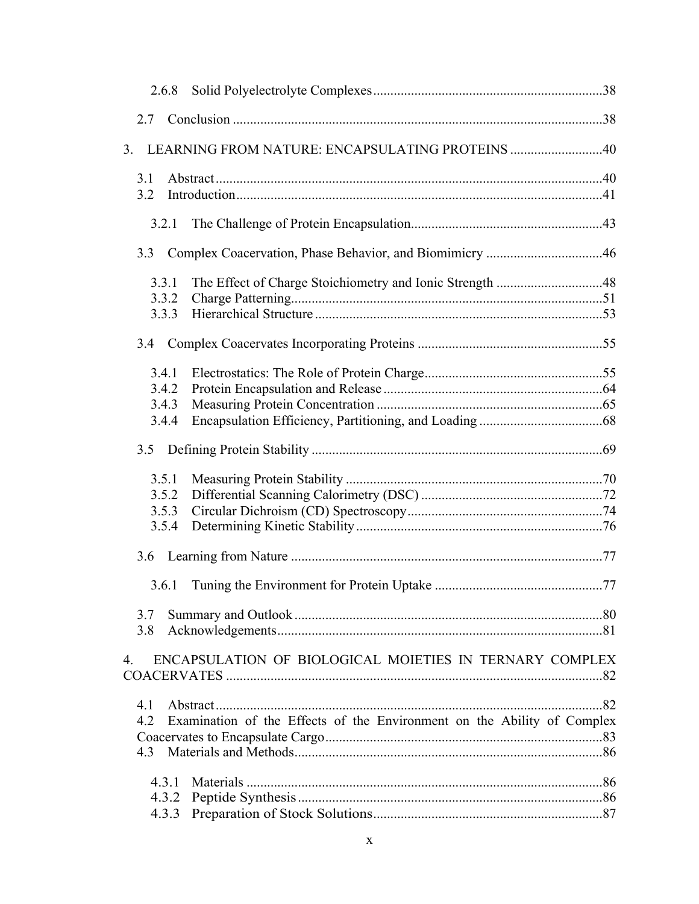| 2.6.8          |                                                                         |  |
|----------------|-------------------------------------------------------------------------|--|
| 2.7            |                                                                         |  |
| 3 <sub>1</sub> | LEARNING FROM NATURE: ENCAPSULATING PROTEINS 40                         |  |
| 3.1<br>3.2     |                                                                         |  |
| 3.2.1          |                                                                         |  |
| 3.3            | Complex Coacervation, Phase Behavior, and Biomimicry 46                 |  |
| 3.3.1          |                                                                         |  |
| 3.3.2          |                                                                         |  |
| 3.3.3          |                                                                         |  |
| 3.4            |                                                                         |  |
| 3.4.1          |                                                                         |  |
| 3.4.2          |                                                                         |  |
| 3.4.3          |                                                                         |  |
| 3.4.4          |                                                                         |  |
| 3.5            |                                                                         |  |
| 3.5.1          |                                                                         |  |
| 3.5.2          |                                                                         |  |
| 3.5.3          |                                                                         |  |
| 3.5.4          |                                                                         |  |
| 3.6            |                                                                         |  |
| 3.6.1          |                                                                         |  |
| 3.7            |                                                                         |  |
| 3.8            |                                                                         |  |
| $4_{\cdot}$    | ENCAPSULATION OF BIOLOGICAL MOIETIES IN TERNARY COMPLEX                 |  |
| 4.1            |                                                                         |  |
| 4.2            | Examination of the Effects of the Environment on the Ability of Complex |  |
|                |                                                                         |  |
| 4.3            |                                                                         |  |
| 4.3.1          |                                                                         |  |
| 4.3.2          |                                                                         |  |
| 4.3.3          |                                                                         |  |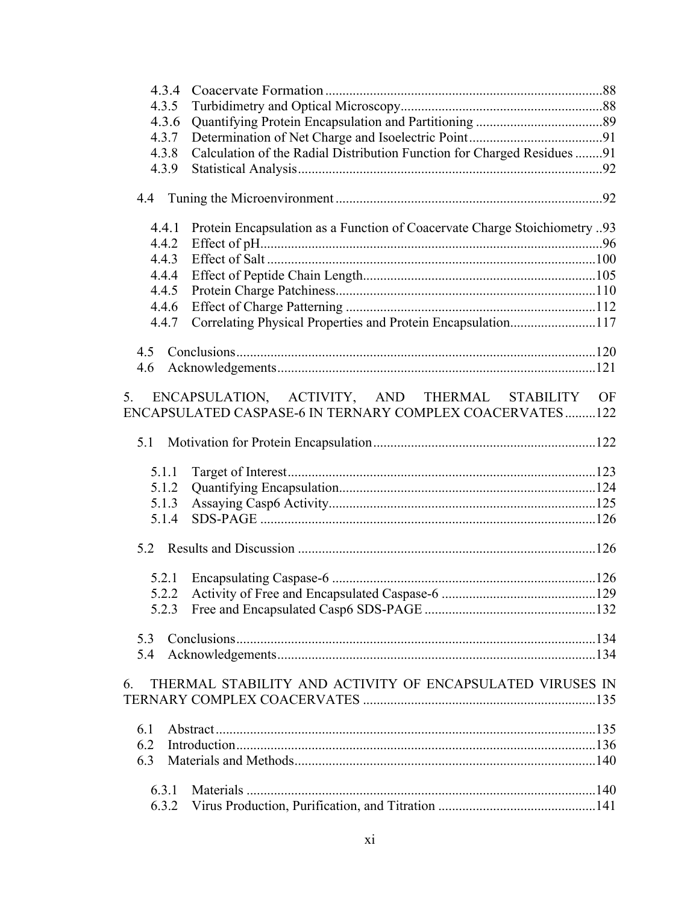| 4.3.4                                                                                                               |  |
|---------------------------------------------------------------------------------------------------------------------|--|
| 4.3.5                                                                                                               |  |
| 4.3.6                                                                                                               |  |
| 4.3.7                                                                                                               |  |
| Calculation of the Radial Distribution Function for Charged Residues 91<br>4.3.8                                    |  |
| 4.3.9                                                                                                               |  |
| 4.4                                                                                                                 |  |
| 4.4.1<br>Protein Encapsulation as a Function of Coacervate Charge Stoichiometry 93                                  |  |
| 4.4.2                                                                                                               |  |
| 4.4.3                                                                                                               |  |
| 4.4.4                                                                                                               |  |
| 4.4.5                                                                                                               |  |
| 4.4.6                                                                                                               |  |
| Correlating Physical Properties and Protein Encapsulation117<br>4.4.7                                               |  |
| 4.5                                                                                                                 |  |
| 4.6                                                                                                                 |  |
| 5.<br>ENCAPSULATION, ACTIVITY, AND THERMAL STABILITY OF<br>ENCAPSULATED CASPASE-6 IN TERNARY COMPLEX COACERVATES122 |  |
| 5.1                                                                                                                 |  |
| 5.1.1                                                                                                               |  |
| 5.1.2                                                                                                               |  |
| 5.1.3                                                                                                               |  |
| 5.1.4                                                                                                               |  |
| 52                                                                                                                  |  |
| 5.2.1                                                                                                               |  |
|                                                                                                                     |  |
|                                                                                                                     |  |
| 5.3                                                                                                                 |  |
| 5.4                                                                                                                 |  |
| THERMAL STABILITY AND ACTIVITY OF ENCAPSULATED VIRUSES IN<br>6.                                                     |  |
|                                                                                                                     |  |
| 6.1                                                                                                                 |  |
| 6.2                                                                                                                 |  |
| 6.3                                                                                                                 |  |
| 6.3.1                                                                                                               |  |
|                                                                                                                     |  |
|                                                                                                                     |  |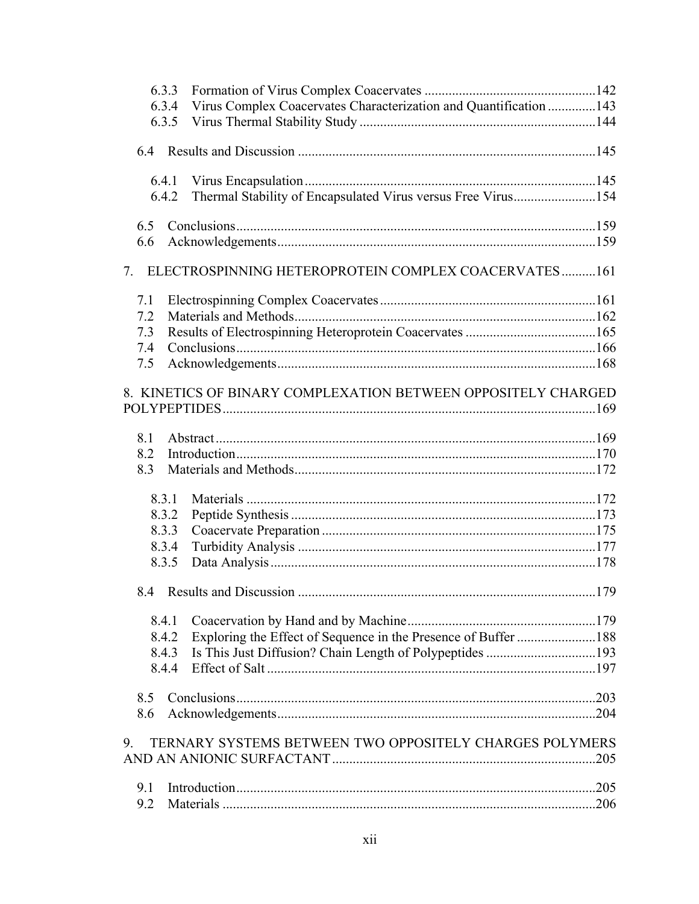| 6.3.3                                                                       |      |
|-----------------------------------------------------------------------------|------|
| Virus Complex Coacervates Characterization and Quantification  143<br>6.3.4 |      |
| 6.3.5                                                                       |      |
|                                                                             |      |
| 6.4.1                                                                       |      |
| Thermal Stability of Encapsulated Virus versus Free Virus154<br>6.4.2       |      |
| 6.5                                                                         |      |
| 6.6                                                                         |      |
| ELECTROSPINNING HETEROPROTEIN COMPLEX COACERVATES161<br>7.                  |      |
| 7.1                                                                         |      |
| 7.2                                                                         |      |
| 7.3                                                                         |      |
| 7.4                                                                         |      |
| 7.5                                                                         |      |
| 8. KINETICS OF BINARY COMPLEXATION BETWEEN OPPOSITELY CHARGED               |      |
|                                                                             |      |
| 8.1                                                                         |      |
| 8.2                                                                         |      |
| 8.3                                                                         |      |
| 8.3.1                                                                       |      |
| 8.3.2                                                                       |      |
| 8.3.3                                                                       |      |
| 8.3.4                                                                       |      |
| 8.3.5                                                                       |      |
|                                                                             | .179 |
| 8.4.1                                                                       |      |
| 8.4.2                                                                       |      |
| 8.4.3                                                                       |      |
| 8.4.4                                                                       |      |
| 8.5                                                                         |      |
| 8.6                                                                         |      |
| TERNARY SYSTEMS BETWEEN TWO OPPOSITELY CHARGES POLYMERS<br>9.               |      |
|                                                                             |      |
| 9.1                                                                         |      |
| 9.2                                                                         | .206 |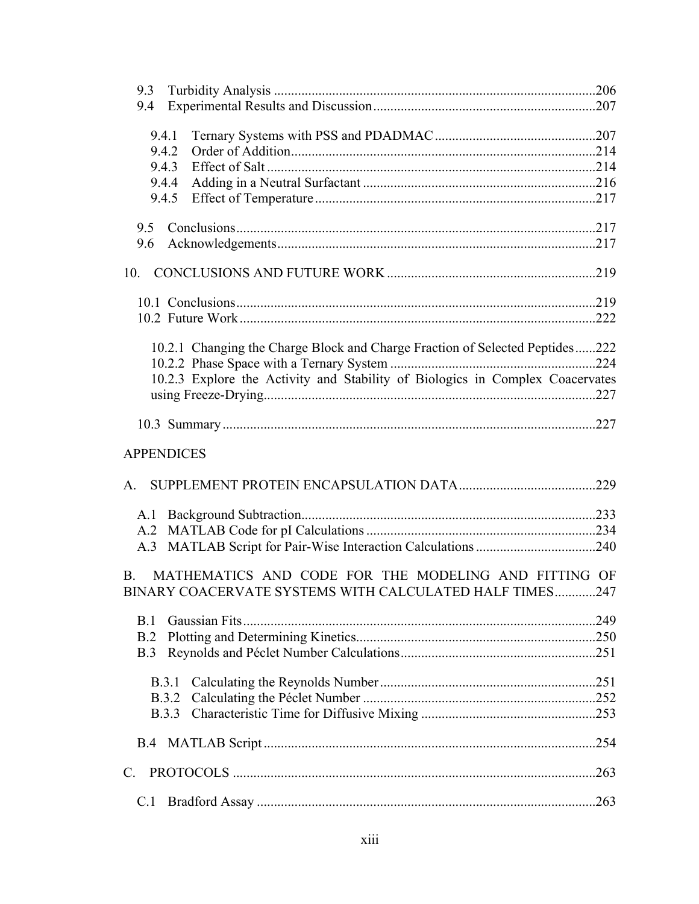| 9.3                                                                           |      |
|-------------------------------------------------------------------------------|------|
| 9.4                                                                           |      |
| 9.4.1                                                                         |      |
| 9.4.2                                                                         |      |
| 9.4.3                                                                         |      |
| 9.4.4                                                                         |      |
| 9.4.5                                                                         |      |
| 9.5                                                                           |      |
| 9.6                                                                           |      |
| 10.                                                                           |      |
|                                                                               |      |
|                                                                               |      |
| 10.2.1 Changing the Charge Block and Charge Fraction of Selected Peptides222  |      |
|                                                                               |      |
| 10.2.3 Explore the Activity and Stability of Biologics in Complex Coacervates |      |
|                                                                               |      |
|                                                                               |      |
| <b>APPENDICES</b>                                                             |      |
| $A_{\cdot}$                                                                   |      |
|                                                                               |      |
|                                                                               |      |
| A.3                                                                           |      |
| MATHEMATICS AND CODE FOR THE MODELING AND FITTING OF<br>$B_{-}$               |      |
| BINARY COACERVATE SYSTEMS WITH CALCULATED HALF TIMES247                       |      |
| B.1                                                                           |      |
| B.2                                                                           |      |
| B.3                                                                           |      |
| B.3.1                                                                         |      |
| <b>B.3.2</b>                                                                  |      |
| <b>B.3.3</b>                                                                  |      |
|                                                                               |      |
| $C_{\cdot}$                                                                   |      |
| C.1                                                                           | .263 |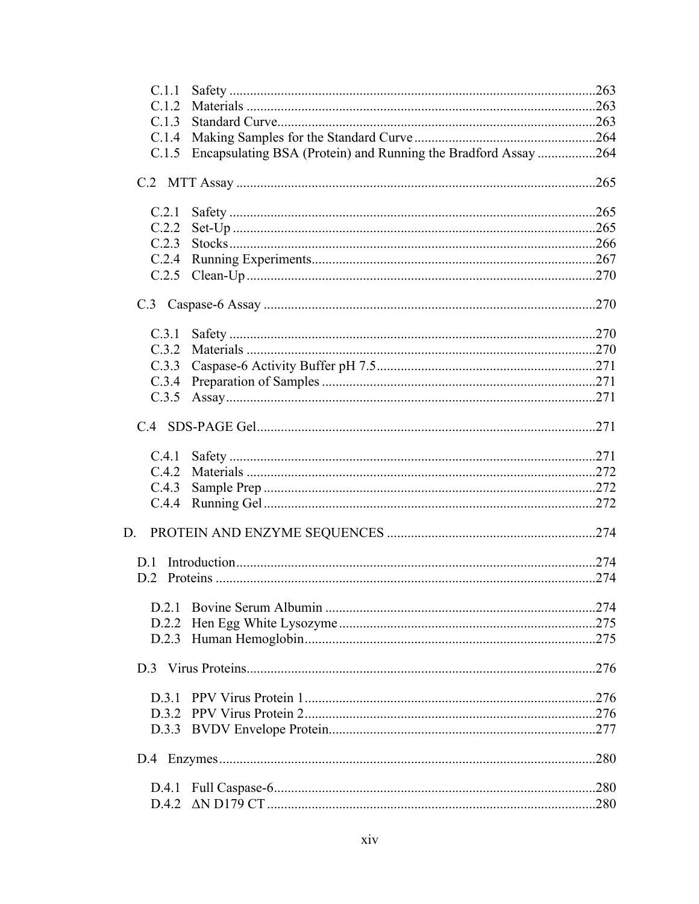| C.1.1            |                                                                |      |
|------------------|----------------------------------------------------------------|------|
| C.1.2            |                                                                |      |
| C.1.3            |                                                                |      |
| C.1.4            |                                                                |      |
| C.1.5            | Encapsulating BSA (Protein) and Running the Bradford Assay 264 |      |
|                  |                                                                |      |
| C.2.1            |                                                                |      |
| C.2.2            |                                                                |      |
| C.2.3            |                                                                |      |
| C.2.4            |                                                                |      |
| C.2.5            |                                                                |      |
|                  |                                                                |      |
| C.3.1            |                                                                |      |
| C.3.2            |                                                                |      |
| C.3.3            |                                                                |      |
| C.3.4            |                                                                |      |
| C.3.5            |                                                                |      |
|                  |                                                                |      |
| C.4.1            |                                                                |      |
| C.4.2            |                                                                |      |
| C.4.3            |                                                                |      |
| C.4.4            |                                                                |      |
| D.               |                                                                |      |
| D.1              |                                                                |      |
| D.2              |                                                                |      |
| D <sub>2</sub> 1 |                                                                |      |
| D.2.2            |                                                                |      |
| D.2.3            |                                                                |      |
|                  |                                                                |      |
| D.3.1            |                                                                |      |
| D.3.2            |                                                                |      |
|                  |                                                                |      |
|                  |                                                                |      |
|                  |                                                                |      |
| D.4.1            |                                                                |      |
|                  |                                                                | .280 |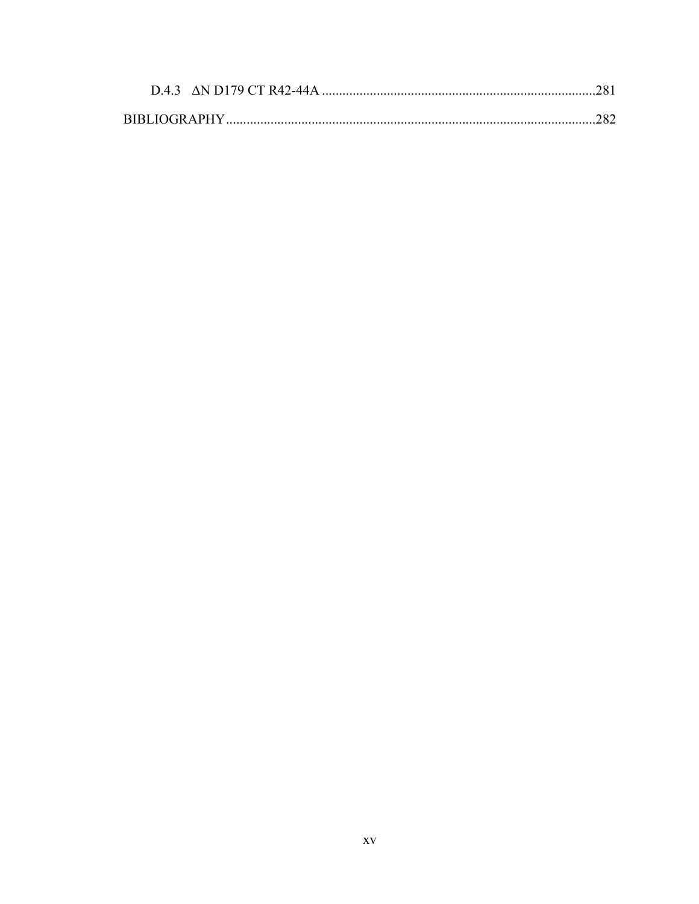| <b>BIBLIOGRAPHY</b> |  |
|---------------------|--|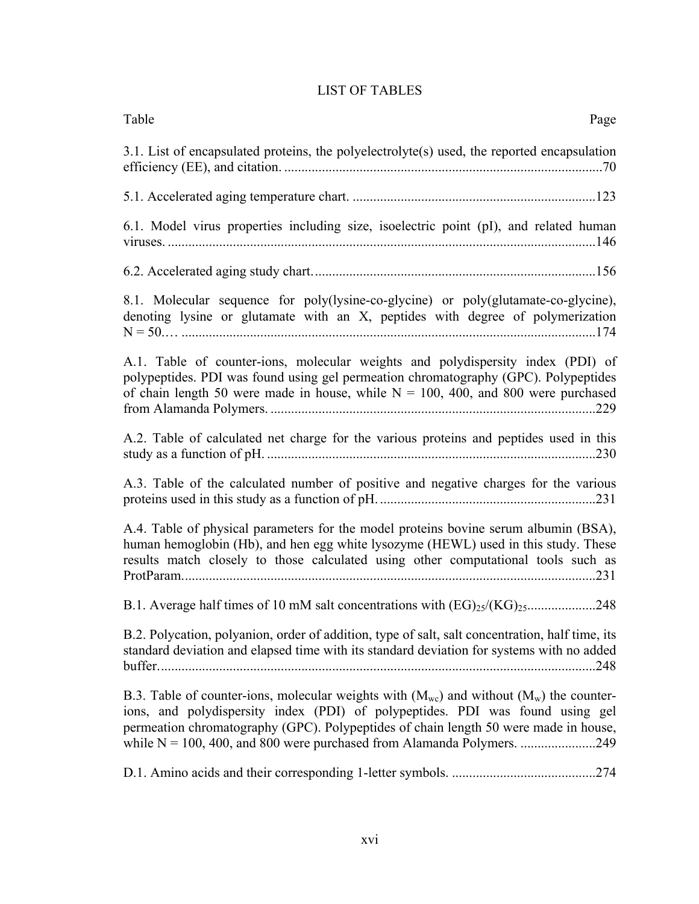## LIST OF TABLES

| Table<br>Page                                                                                                                                                                                                                                                           |
|-------------------------------------------------------------------------------------------------------------------------------------------------------------------------------------------------------------------------------------------------------------------------|
| 3.1. List of encapsulated proteins, the polyelectrolyte(s) used, the reported encapsulation                                                                                                                                                                             |
|                                                                                                                                                                                                                                                                         |
| 6.1. Model virus properties including size, isoelectric point (pI), and related human                                                                                                                                                                                   |
|                                                                                                                                                                                                                                                                         |
| 8.1. Molecular sequence for poly(lysine-co-glycine) or poly(glutamate-co-glycine),<br>denoting lysine or glutamate with an X, peptides with degree of polymerization                                                                                                    |
| A.1. Table of counter-ions, molecular weights and polydispersity index (PDI) of<br>polypeptides. PDI was found using gel permeation chromatography (GPC). Polypeptides<br>of chain length 50 were made in house, while $N = 100$ , 400, and 800 were purchased          |
| A.2. Table of calculated net charge for the various proteins and peptides used in this                                                                                                                                                                                  |
| A.3. Table of the calculated number of positive and negative charges for the various                                                                                                                                                                                    |
| A.4. Table of physical parameters for the model proteins bovine serum albumin (BSA),<br>human hemoglobin (Hb), and hen egg white lysozyme (HEWL) used in this study. These<br>results match closely to those calculated using other computational tools such as         |
| B.1. Average half times of 10 mM salt concentrations with (EG) <sub>25</sub> /(KG) <sub>25</sub> 248                                                                                                                                                                    |
| B.2. Polycation, polyanion, order of addition, type of salt, salt concentration, half time, its<br>standard deviation and elapsed time with its standard deviation for systems with no added                                                                            |
| B.3. Table of counter-ions, molecular weights with $(M_{wc})$ and without $(M_w)$ the counter-<br>ions, and polydispersity index (PDI) of polypeptides. PDI was found using gel<br>permeation chromatography (GPC). Polypeptides of chain length 50 were made in house, |
|                                                                                                                                                                                                                                                                         |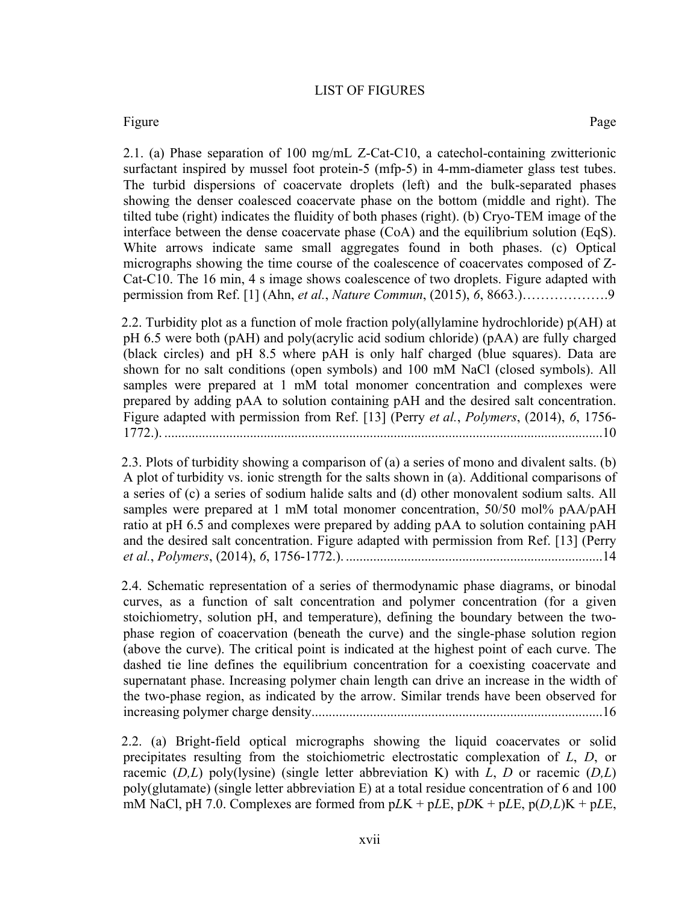#### Figure Page

2.1. (a) Phase separation of 100 mg/mL Z-Cat-C10, a catechol-containing zwitterionic surfactant inspired by mussel foot protein-5 (mfp-5) in 4-mm-diameter glass test tubes. The turbid dispersions of coacervate droplets (left) and the bulk-separated phases showing the denser coalesced coacervate phase on the bottom (middle and right). The tilted tube (right) indicates the fluidity of both phases (right). (b) Cryo-TEM image of the interface between the dense coacervate phase (CoA) and the equilibrium solution (EqS). White arrows indicate same small aggregates found in both phases. (c) Optical micrographs showing the time course of the coalescence of coacervates composed of Z-Cat-C10. The 16 min, 4 s image shows coalescence of two droplets. Figure adapted with permission from Ref. [1] (Ahn, *et al.*, *Nature Commun*, (2015), *6*, 8663.)……………….9

2.2. Turbidity plot as a function of mole fraction poly(allylamine hydrochloride)  $p(AH)$  at pH 6.5 were both (pAH) and poly(acrylic acid sodium chloride) (pAA) are fully charged (black circles) and pH 8.5 where pAH is only half charged (blue squares). Data are shown for no salt conditions (open symbols) and 100 mM NaCl (closed symbols). All samples were prepared at 1 mM total monomer concentration and complexes were prepared by adding pAA to solution containing pAH and the desired salt concentration. Figure adapted with permission from Ref. [13] (Perry *et al.*, *Polymers*, (2014), *6*, 1756- 1772.). ................................................................................................................................10

2.3. Plots of turbidity showing a comparison of (a) a series of mono and divalent salts. (b) A plot of turbidity vs. ionic strength for the salts shown in (a). Additional comparisons of a series of (c) a series of sodium halide salts and (d) other monovalent sodium salts. All samples were prepared at 1 mM total monomer concentration, 50/50 mol% pAA/pAH ratio at pH 6.5 and complexes were prepared by adding pAA to solution containing pAH and the desired salt concentration. Figure adapted with permission from Ref. [13] (Perry *et al.*, *Polymers*, (2014), *6*, 1756-1772.). ...........................................................................14

2.4. Schematic representation of a series of thermodynamic phase diagrams, or binodal curves, as a function of salt concentration and polymer concentration (for a given stoichiometry, solution pH, and temperature), defining the boundary between the twophase region of coacervation (beneath the curve) and the single-phase solution region (above the curve). The critical point is indicated at the highest point of each curve. The dashed tie line defines the equilibrium concentration for a coexisting coacervate and supernatant phase. Increasing polymer chain length can drive an increase in the width of the two-phase region, as indicated by the arrow. Similar trends have been observed for increasing polymer charge density.....................................................................................16

2.2. (a) Bright-field optical micrographs showing the liquid coacervates or solid precipitates resulting from the stoichiometric electrostatic complexation of *L*, *D*, or racemic (*D,L*) poly(lysine) (single letter abbreviation K) with *L*, *D* or racemic (*D,L*) poly(glutamate) (single letter abbreviation E) at a total residue concentration of 6 and 100 mM NaCl, pH 7.0. Complexes are formed from p*L*K + p*L*E, p*D*K + p*L*E, p(*D,L*)K + p*L*E,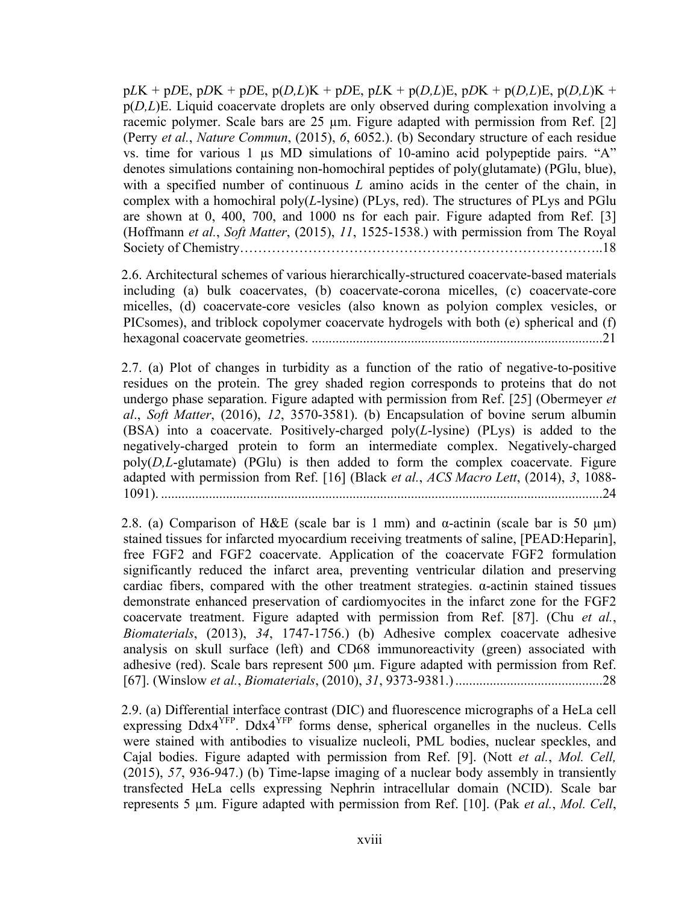$pLK + pDE$ ,  $pDK + pDE$ ,  $p(D,L)K + pDE$ ,  $pLK + p(D,L)E$ ,  $pDK + p(D,L)E$ ,  $p(D,L)K + p(D,L)E$ p(*D,L*)E. Liquid coacervate droplets are only observed during complexation involving a racemic polymer. Scale bars are 25  $\mu$ m. Figure adapted with permission from Ref. [2] (Perry *et al.*, *Nature Commun*, (2015), *6*, 6052.). (b) Secondary structure of each residue vs. time for various 1 µs MD simulations of 10-amino acid polypeptide pairs. "A" denotes simulations containing non-homochiral peptides of poly(glutamate) (PGlu, blue), with a specified number of continuous *L* amino acids in the center of the chain, in complex with a homochiral poly(*L*-lysine) (PLys, red). The structures of PLys and PGlu are shown at 0, 400, 700, and 1000 ns for each pair. Figure adapted from Ref. [3] (Hoffmann *et al.*, *Soft Matter*, (2015), *11*, 1525-1538.) with permission from The Royal Society of Chemistry……………………………………………………………………..18

2.6. Architectural schemes of various hierarchically-structured coacervate-based materials including (a) bulk coacervates, (b) coacervate-corona micelles, (c) coacervate-core micelles, (d) coacervate-core vesicles (also known as polyion complex vesicles, or PICsomes), and triblock copolymer coacervate hydrogels with both (e) spherical and (f) hexagonal coacervate geometries. .....................................................................................21

2.7. (a) Plot of changes in turbidity as a function of the ratio of negative-to-positive residues on the protein. The grey shaded region corresponds to proteins that do not undergo phase separation. Figure adapted with permission from Ref. [25] (Obermeyer *et al*., *Soft Matter*, (2016), *12*, 3570-3581). (b) Encapsulation of bovine serum albumin (BSA) into a coacervate. Positively-charged poly(*L*-lysine) (PLys) is added to the negatively-charged protein to form an intermediate complex. Negatively-charged  $poly(D,L)$ -glutamate) (PGlu) is then added to form the complex coacervate. Figure adapted with permission from Ref. [16] (Black *et al.*, *ACS Macro Lett*, (2014), *3*, 1088- 1091). .................................................................................................................................24

2.8. (a) Comparison of H&E (scale bar is 1 mm) and  $\alpha$ -actinin (scale bar is 50 µm) stained tissues for infarcted myocardium receiving treatments of saline, [PEAD:Heparin], free FGF2 and FGF2 coacervate. Application of the coacervate FGF2 formulation significantly reduced the infarct area, preventing ventricular dilation and preserving cardiac fibers, compared with the other treatment strategies. α-actinin stained tissues demonstrate enhanced preservation of cardiomyocites in the infarct zone for the FGF2 coacervate treatment. Figure adapted with permission from Ref. [87]. (Chu *et al.*, *Biomaterials*, (2013), *34*, 1747-1756.) (b) Adhesive complex coacervate adhesive analysis on skull surface (left) and CD68 immunoreactivity (green) associated with adhesive (red). Scale bars represent 500 µm. Figure adapted with permission from Ref. [67]. (Winslow *et al.*, *Biomaterials*, (2010), *31*, 9373-9381.)...........................................28

2.9. (a) Differential interface contrast (DIC) and fluorescence micrographs of a HeLa cell expressing Ddx4YFP. Ddx4YFP forms dense, spherical organelles in the nucleus. Cells were stained with antibodies to visualize nucleoli, PML bodies, nuclear speckles, and Cajal bodies. Figure adapted with permission from Ref. [9]. (Nott *et al.*, *Mol. Cell,* (2015), *57*, 936-947.) (b) Time-lapse imaging of a nuclear body assembly in transiently transfected HeLa cells expressing Nephrin intracellular domain (NCID). Scale bar represents 5 µm. Figure adapted with permission from Ref. [10]. (Pak *et al.*, *Mol. Cell*,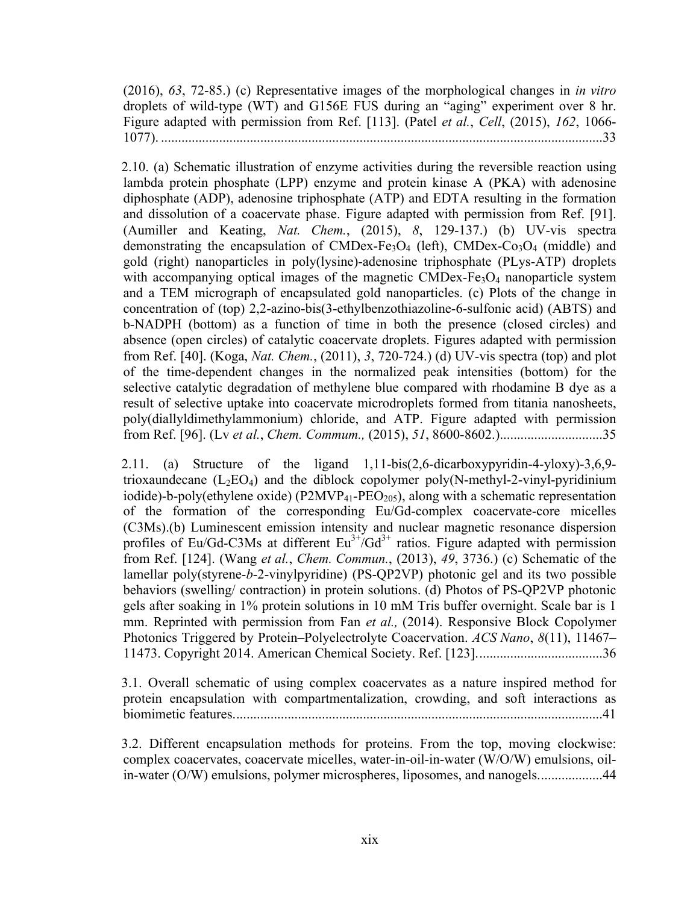(2016), *63*, 72-85.) (c) Representative images of the morphological changes in *in vitro* droplets of wild-type (WT) and G156E FUS during an "aging" experiment over 8 hr. Figure adapted with permission from Ref. [113]. (Patel *et al.*, *Cell*, (2015), *162*, 1066- 1077). .................................................................................................................................33

2.10. (a) Schematic illustration of enzyme activities during the reversible reaction using lambda protein phosphate (LPP) enzyme and protein kinase A (PKA) with adenosine diphosphate (ADP), adenosine triphosphate (ATP) and EDTA resulting in the formation and dissolution of a coacervate phase. Figure adapted with permission from Ref. [91]. (Aumiller and Keating, *Nat. Chem.*, (2015), *8*, 129-137.) (b) UV-vis spectra demonstrating the encapsulation of CMDex-Fe<sub>3</sub>O<sub>4</sub> (left), CMDex-Co<sub>3</sub>O<sub>4</sub> (middle) and gold (right) nanoparticles in poly(lysine)-adenosine triphosphate (PLys-ATP) droplets with accompanying optical images of the magnetic CMDex-Fe<sub>3</sub>O<sub>4</sub> nanoparticle system and a TEM micrograph of encapsulated gold nanoparticles. (c) Plots of the change in concentration of (top) 2,2-azino-bis(3-ethylbenzothiazoline-6-sulfonic acid) (ABTS) and b-NADPH (bottom) as a function of time in both the presence (closed circles) and absence (open circles) of catalytic coacervate droplets. Figures adapted with permission from Ref. [40]. (Koga, *Nat. Chem.*, (2011), *3*, 720-724.) (d) UV-vis spectra (top) and plot of the time-dependent changes in the normalized peak intensities (bottom) for the selective catalytic degradation of methylene blue compared with rhodamine B dye as a result of selective uptake into coacervate microdroplets formed from titania nanosheets, poly(diallyldimethylammonium) chloride, and ATP. Figure adapted with permission from Ref. [96]. (Lv *et al.*, *Chem. Commum.,* (2015), *51*, 8600-8602.)..............................35

2.11. (a) Structure of the ligand 1,11-bis(2,6-dicarboxypyridin-4-yloxy)-3,6,9 trioxaundecane  $(L_2EO_4)$  and the diblock copolymer poly(N-methyl-2-vinyl-pyridinium iodide)-b-poly(ethylene oxide) ( $P2MVP_{41}$ - $PEO_{205}$ ), along with a schematic representation of the formation of the corresponding Eu/Gd-complex coacervate-core micelles (C3Ms).(b) Luminescent emission intensity and nuclear magnetic resonance dispersion profiles of Eu/Gd-C3Ms at different  $Eu^{3+}/Gd^{3+}$  ratios. Figure adapted with permission from Ref. [124]. (Wang *et al.*, *Chem. Commun.*, (2013), *49*, 3736.) (c) Schematic of the lamellar poly(styrene-*b*-2-vinylpyridine) (PS-QP2VP) photonic gel and its two possible behaviors (swelling/ contraction) in protein solutions. (d) Photos of PS-QP2VP photonic gels after soaking in 1% protein solutions in 10 mM Tris buffer overnight. Scale bar is 1 mm. Reprinted with permission from Fan *et al.,* (2014). Responsive Block Copolymer Photonics Triggered by Protein–Polyelectrolyte Coacervation. *ACS Nano*, *8*(11), 11467– 11473. Copyright 2014. American Chemical Society. Ref. [123].....................................36

3.1. Overall schematic of using complex coacervates as a nature inspired method for protein encapsulation with compartmentalization, crowding, and soft interactions as biomimetic features............................................................................................................41

3.2. Different encapsulation methods for proteins. From the top, moving clockwise: complex coacervates, coacervate micelles, water-in-oil-in-water (W/O/W) emulsions, oilin-water (O/W) emulsions, polymer microspheres, liposomes, and nanogels...................44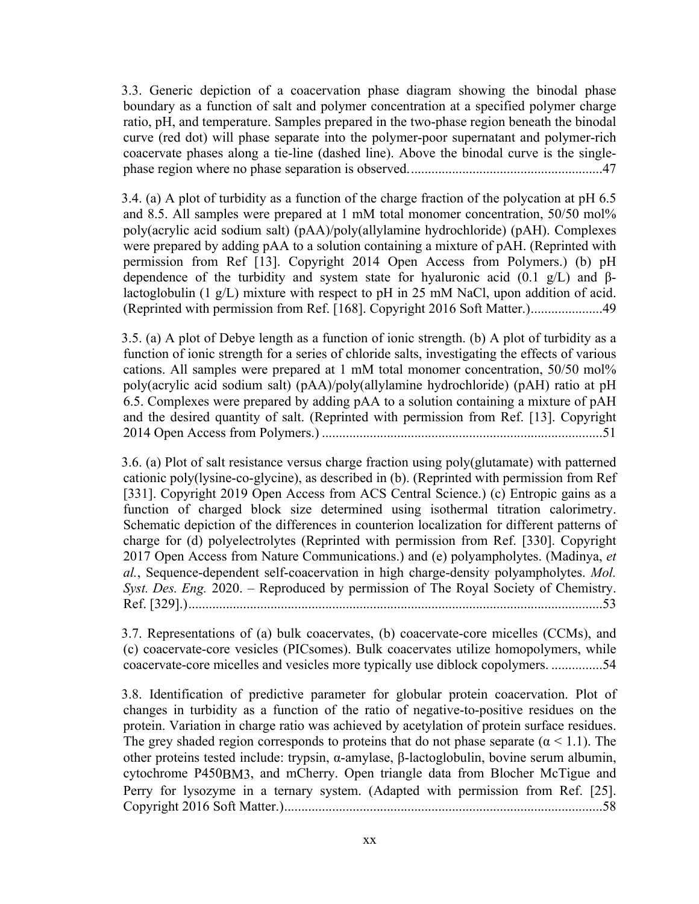3.3. Generic depiction of a coacervation phase diagram showing the binodal phase boundary as a function of salt and polymer concentration at a specified polymer charge ratio, pH, and temperature. Samples prepared in the two-phase region beneath the binodal curve (red dot) will phase separate into the polymer-poor supernatant and polymer-rich coacervate phases along a tie-line (dashed line). Above the binodal curve is the singlephase region where no phase separation is observed.........................................................47

3.4. (a) A plot of turbidity as a function of the charge fraction of the polycation at pH 6.5 and 8.5. All samples were prepared at 1 mM total monomer concentration, 50/50 mol% poly(acrylic acid sodium salt) (pAA)/poly(allylamine hydrochloride) (pAH). Complexes were prepared by adding pAA to a solution containing a mixture of pAH. (Reprinted with permission from Ref [13]. Copyright 2014 Open Access from Polymers.) (b) pH dependence of the turbidity and system state for hyaluronic acid  $(0.1 \text{ g/L})$  and  $\beta$ lactoglobulin (1 g/L) mixture with respect to pH in 25 mM NaCl, upon addition of acid. (Reprinted with permission from Ref. [168]. Copyright 2016 Soft Matter.).....................49

3.5. (a) A plot of Debye length as a function of ionic strength. (b) A plot of turbidity as a function of ionic strength for a series of chloride salts, investigating the effects of various cations. All samples were prepared at 1 mM total monomer concentration, 50/50 mol% poly(acrylic acid sodium salt) (pAA)/poly(allylamine hydrochloride) (pAH) ratio at pH 6.5. Complexes were prepared by adding pAA to a solution containing a mixture of pAH and the desired quantity of salt. (Reprinted with permission from Ref. [13]. Copyright 2014 Open Access from Polymers.) ..................................................................................51

3.6. (a) Plot of salt resistance versus charge fraction using poly(glutamate) with patterned cationic poly(lysine-co-glycine), as described in (b). (Reprinted with permission from Ref [331]. Copyright 2019 Open Access from ACS Central Science.) (c) Entropic gains as a function of charged block size determined using isothermal titration calorimetry. Schematic depiction of the differences in counterion localization for different patterns of charge for (d) polyelectrolytes (Reprinted with permission from Ref. [330]. Copyright 2017 Open Access from Nature Communications.) and (e) polyampholytes. (Madinya, *et al.*, Sequence-dependent self-coacervation in high charge-density polyampholytes. *Mol. Syst. Des. Eng.* 2020. – Reproduced by permission of The Royal Society of Chemistry. Ref. [329].).........................................................................................................................53

3.7. Representations of (a) bulk coacervates, (b) coacervate-core micelles (CCMs), and (c) coacervate-core vesicles (PICsomes). Bulk coacervates utilize homopolymers, while coacervate-core micelles and vesicles more typically use diblock copolymers. ...............54

3.8. Identification of predictive parameter for globular protein coacervation. Plot of changes in turbidity as a function of the ratio of negative-to-positive residues on the protein. Variation in charge ratio was achieved by acetylation of protein surface residues. The grey shaded region corresponds to proteins that do not phase separate ( $\alpha$  < 1.1). The other proteins tested include: trypsin, α-amylase, β-lactoglobulin, bovine serum albumin, cytochrome P450BM3, and mCherry. Open triangle data from Blocher McTigue and Perry for lysozyme in a ternary system. (Adapted with permission from Ref. [25]. Copyright 2016 Soft Matter.).............................................................................................58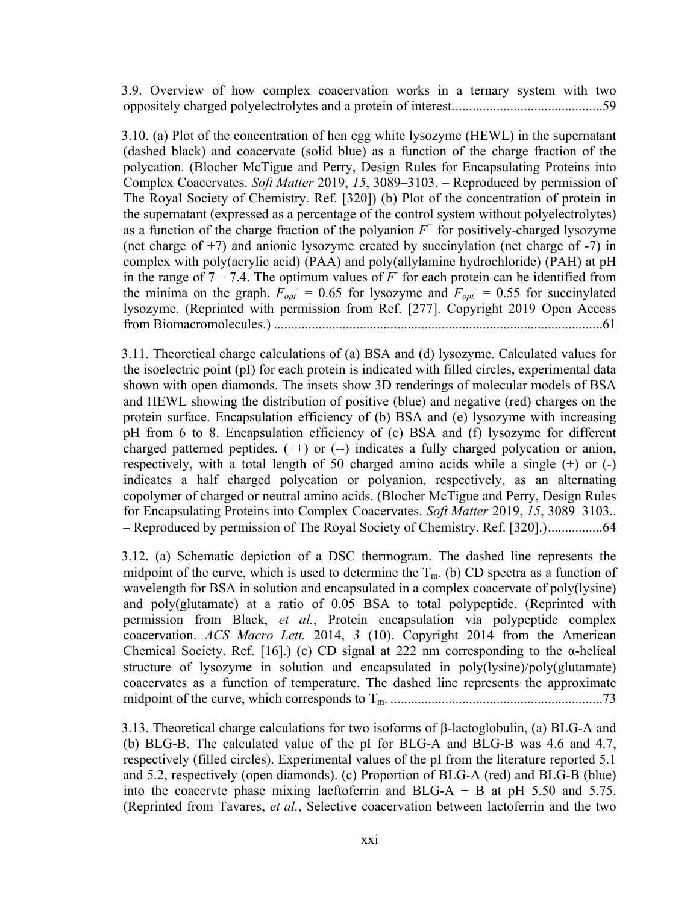3.9. Overview of how complex coacervation works in a ternary system with two oppositely charged polyelectrolytes and a protein of interest............................................59

3.10. (a) Plot of the concentration of hen egg white lysozyme (HEWL) in the supernatant (dashed black) and coacervate (solid blue) as a function of the charge fraction of the polycation. (Blocher McTigue and Perry, Design Rules for Encapsulating Proteins into Complex Coacervates. *Soft Matter* 2019, *15*, 3089–3103. – Reproduced by permission of The Royal Society of Chemistry. Ref. [320]) (b) Plot of the concentration of protein in the supernatant (expressed as a percentage of the control system without polyelectrolytes) as a function of the charge fraction of the polyanion *F<sup>−</sup>* for positively-charged lysozyme (net charge of  $+7$ ) and anionic lysozyme created by succinylation (net charge of  $-7$ ) in complex with poly(acrylic acid) (PAA) and poly(allylamine hydrochloride) (PAH) at pH in the range of  $7 - 7.4$ . The optimum values of  $F$  for each protein can be identified from the minima on the graph.  $F_{opt} = 0.65$  for lysozyme and  $F_{opt} = 0.55$  for succinylated lysozyme. (Reprinted with permission from Ref. [277]. Copyright 2019 Open Access from Biomacromolecules.) ................................................................................................61

3.11. Theoretical charge calculations of (a) BSA and (d) lysozyme. Calculated values for the isoelectric point (pI) for each protein is indicated with filled circles, experimental data shown with open diamonds. The insets show 3D renderings of molecular models of BSA and HEWL showing the distribution of positive (blue) and negative (red) charges on the protein surface. Encapsulation efficiency of (b) BSA and (e) lysozyme with increasing pH from 6 to 8. Encapsulation efficiency of (c) BSA and (f) lysozyme for different charged patterned peptides. (++) or (--) indicates a fully charged polycation or anion, respectively, with a total length of 50 charged amino acids while a single (+) or (-) indicates a half charged polycation or polyanion, respectively, as an alternating copolymer of charged or neutral amino acids. (Blocher McTigue and Perry, Design Rules for Encapsulating Proteins into Complex Coacervates. *Soft Matter* 2019, *15*, 3089–3103.. – Reproduced by permission of The Royal Society of Chemistry. Ref. [320].)................64

3.12. (a) Schematic depiction of a DSC thermogram. The dashed line represents the midpoint of the curve, which is used to determine the  $T_m$ . (b) CD spectra as a function of wavelength for BSA in solution and encapsulated in a complex coacervate of poly(lysine) and poly(glutamate) at a ratio of 0.05 BSA to total polypeptide. (Reprinted with permission from Black, *et al.*, Protein encapsulation via polypeptide complex coacervation. *ACS Macro Lett.* 2014, *3* (10). Copyright 2014 from the American Chemical Society. Ref. [16].) (c) CD signal at 222 nm corresponding to the α-helical structure of lysozyme in solution and encapsulated in poly(lysine)/poly(glutamate) coacervates as a function of temperature. The dashed line represents the approximate midpoint of the curve, which corresponds to Tm. ..............................................................73

3.13. Theoretical charge calculations for two isoforms of β-lactoglobulin, (a) BLG-A and (b) BLG-B. The calculated value of the pI for BLG-A and BLG-B was 4.6 and 4.7, respectively (filled circles). Experimental values of the pI from the literature reported 5.1 and 5.2, respectively (open diamonds). (c) Proportion of BLG-A (red) and BLG-B (blue) into the coacervte phase mixing lacftoferrin and BLG-A  $+$  B at pH 5.50 and 5.75. (Reprinted from Tavares, *et al.*, Selective coacervation between lactoferrin and the two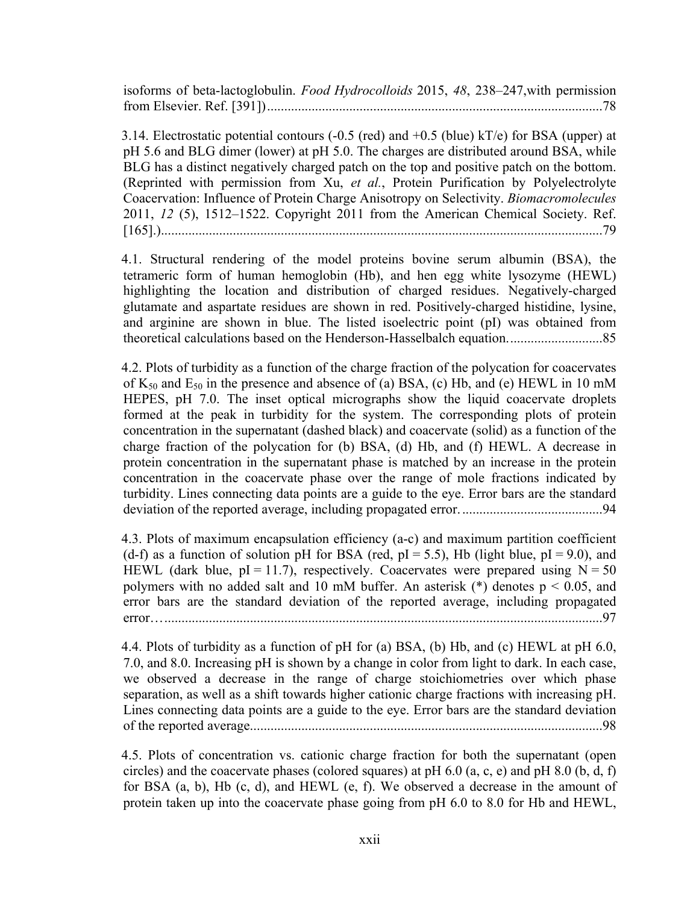isoforms of beta-lactoglobulin. *Food Hydrocolloids* 2015, *48*, 238–247,with permission from Elsevier. Ref. [391])..................................................................................................78

3.14. Electrostatic potential contours (-0.5 (red) and +0.5 (blue) kT/e) for BSA (upper) at pH 5.6 and BLG dimer (lower) at pH 5.0. The charges are distributed around BSA, while BLG has a distinct negatively charged patch on the top and positive patch on the bottom. (Reprinted with permission from Xu, *et al.*, Protein Purification by Polyelectrolyte Coacervation: Influence of Protein Charge Anisotropy on Selectivity. *Biomacromolecules* 2011, *12* (5), 1512–1522. Copyright 2011 from the American Chemical Society. Ref. [165].).................................................................................................................................79

4.1. Structural rendering of the model proteins bovine serum albumin (BSA), the tetrameric form of human hemoglobin (Hb), and hen egg white lysozyme (HEWL) highlighting the location and distribution of charged residues. Negatively-charged glutamate and aspartate residues are shown in red. Positively-charged histidine, lysine, and arginine are shown in blue. The listed isoelectric point (pI) was obtained from theoretical calculations based on the Henderson-Hasselbalch equation............................85

4.2. Plots of turbidity as a function of the charge fraction of the polycation for coacervates of  $K_{50}$  and  $E_{50}$  in the presence and absence of (a) BSA, (c) Hb, and (e) HEWL in 10 mM HEPES, pH 7.0. The inset optical micrographs show the liquid coacervate droplets formed at the peak in turbidity for the system. The corresponding plots of protein concentration in the supernatant (dashed black) and coacervate (solid) as a function of the charge fraction of the polycation for (b) BSA, (d) Hb, and (f) HEWL. A decrease in protein concentration in the supernatant phase is matched by an increase in the protein concentration in the coacervate phase over the range of mole fractions indicated by turbidity. Lines connecting data points are a guide to the eye. Error bars are the standard deviation of the reported average, including propagated error..........................................94

4.3. Plots of maximum encapsulation efficiency (a-c) and maximum partition coefficient (d-f) as a function of solution pH for BSA (red,  $pI = 5.5$ ), Hb (light blue,  $pI = 9.0$ ), and HEWL (dark blue,  $pI = 11.7$ ), respectively. Coacervates were prepared using  $N = 50$ polymers with no added salt and 10 mM buffer. An asterisk  $(*)$  denotes  $p < 0.05$ , and error bars are the standard deviation of the reported average, including propagated error…................................................................................................................................97

4.4. Plots of turbidity as a function of pH for (a) BSA, (b) Hb, and (c) HEWL at pH 6.0, 7.0, and 8.0. Increasing pH is shown by a change in color from light to dark. In each case, we observed a decrease in the range of charge stoichiometries over which phase separation, as well as a shift towards higher cationic charge fractions with increasing pH. Lines connecting data points are a guide to the eye. Error bars are the standard deviation of the reported average.......................................................................................................98

4.5. Plots of concentration vs. cationic charge fraction for both the supernatant (open circles) and the coacervate phases (colored squares) at pH  $6.0$  (a, c, e) and pH  $8.0$  (b, d, f) for BSA (a, b), Hb (c, d), and HEWL (e, f). We observed a decrease in the amount of protein taken up into the coacervate phase going from pH 6.0 to 8.0 for Hb and HEWL,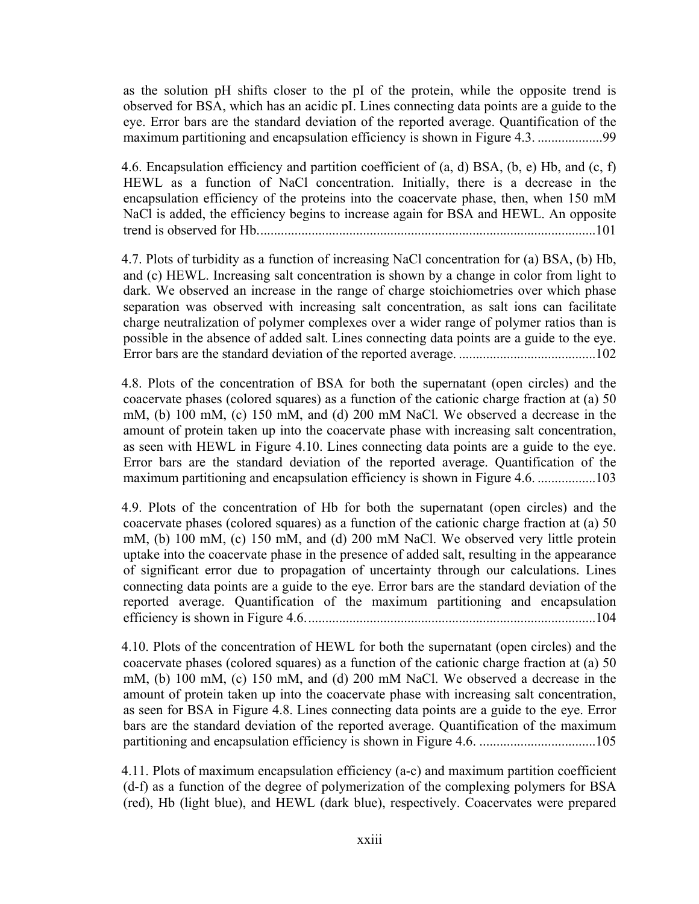as the solution pH shifts closer to the pI of the protein, while the opposite trend is observed for BSA, which has an acidic pI. Lines connecting data points are a guide to the eye. Error bars are the standard deviation of the reported average. Quantification of the maximum partitioning and encapsulation efficiency is shown in Figure 4.3. ...................99

4.6. Encapsulation efficiency and partition coefficient of (a, d) BSA, (b, e) Hb, and (c, f) HEWL as a function of NaCl concentration. Initially, there is a decrease in the encapsulation efficiency of the proteins into the coacervate phase, then, when 150 mM NaCl is added, the efficiency begins to increase again for BSA and HEWL. An opposite trend is observed for Hb...................................................................................................101

4.7. Plots of turbidity as a function of increasing NaCl concentration for (a) BSA, (b) Hb, and (c) HEWL. Increasing salt concentration is shown by a change in color from light to dark. We observed an increase in the range of charge stoichiometries over which phase separation was observed with increasing salt concentration, as salt ions can facilitate charge neutralization of polymer complexes over a wider range of polymer ratios than is possible in the absence of added salt. Lines connecting data points are a guide to the eye. Error bars are the standard deviation of the reported average. ........................................102

4.8. Plots of the concentration of BSA for both the supernatant (open circles) and the coacervate phases (colored squares) as a function of the cationic charge fraction at (a) 50 mM, (b) 100 mM, (c) 150 mM, and (d) 200 mM NaCl. We observed a decrease in the amount of protein taken up into the coacervate phase with increasing salt concentration, as seen with HEWL in Figure 4.10. Lines connecting data points are a guide to the eye. Error bars are the standard deviation of the reported average. Quantification of the maximum partitioning and encapsulation efficiency is shown in Figure 4.6. .........................103

4.9. Plots of the concentration of Hb for both the supernatant (open circles) and the coacervate phases (colored squares) as a function of the cationic charge fraction at (a) 50 mM, (b) 100 mM, (c) 150 mM, and (d) 200 mM NaCl. We observed very little protein uptake into the coacervate phase in the presence of added salt, resulting in the appearance of significant error due to propagation of uncertainty through our calculations. Lines connecting data points are a guide to the eye. Error bars are the standard deviation of the reported average. Quantification of the maximum partitioning and encapsulation efficiency is shown in Figure 4.6.....................................................................................104

4.10. Plots of the concentration of HEWL for both the supernatant (open circles) and the coacervate phases (colored squares) as a function of the cationic charge fraction at (a) 50 mM, (b) 100 mM, (c) 150 mM, and (d) 200 mM NaCl. We observed a decrease in the amount of protein taken up into the coacervate phase with increasing salt concentration, as seen for BSA in Figure 4.8. Lines connecting data points are a guide to the eye. Error bars are the standard deviation of the reported average. Quantification of the maximum partitioning and encapsulation efficiency is shown in Figure 4.6. ..................................105

4.11. Plots of maximum encapsulation efficiency (a-c) and maximum partition coefficient (d-f) as a function of the degree of polymerization of the complexing polymers for BSA (red), Hb (light blue), and HEWL (dark blue), respectively. Coacervates were prepared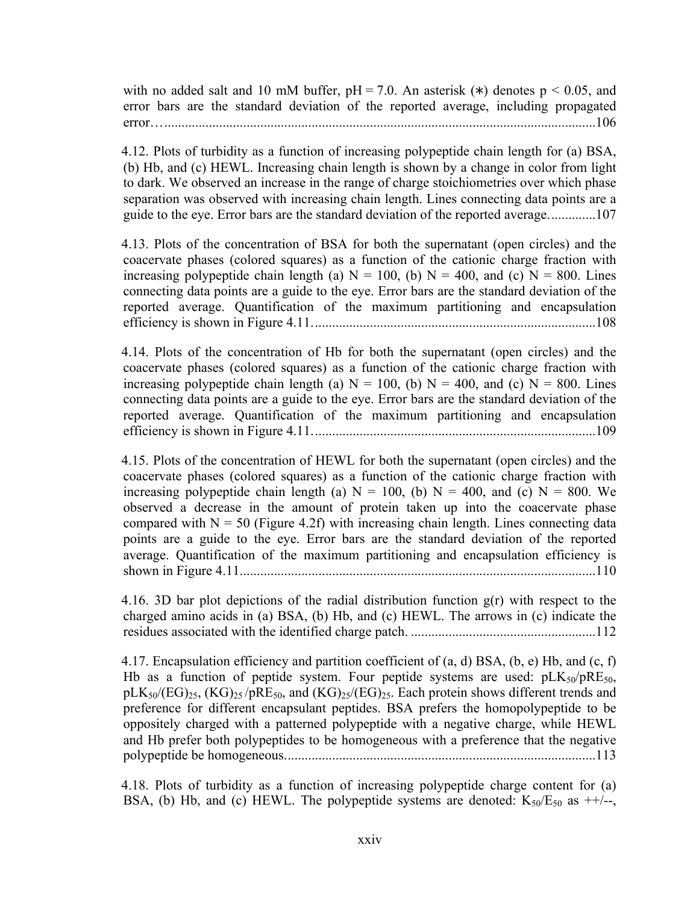with no added salt and 10 mM buffer,  $pH = 7.0$ . An asterisk (\*) denotes  $p < 0.05$ , and error bars are the standard deviation of the reported average, including propagated error…..............................................................................................................................106

4.12. Plots of turbidity as a function of increasing polypeptide chain length for (a) BSA, (b) Hb, and (c) HEWL. Increasing chain length is shown by a change in color from light to dark. We observed an increase in the range of charge stoichiometries over which phase separation was observed with increasing chain length. Lines connecting data points are a guide to the eye. Error bars are the standard deviation of the reported average..............107

4.13. Plots of the concentration of BSA for both the supernatant (open circles) and the coacervate phases (colored squares) as a function of the cationic charge fraction with increasing polypeptide chain length (a)  $N = 100$ , (b)  $N = 400$ , and (c)  $N = 800$ . Lines connecting data points are a guide to the eye. Error bars are the standard deviation of the reported average. Quantification of the maximum partitioning and encapsulation efficiency is shown in Figure 4.11...................................................................................108

4.14. Plots of the concentration of Hb for both the supernatant (open circles) and the coacervate phases (colored squares) as a function of the cationic charge fraction with increasing polypeptide chain length (a)  $N = 100$ , (b)  $N = 400$ , and (c)  $N = 800$ . Lines connecting data points are a guide to the eye. Error bars are the standard deviation of the reported average. Quantification of the maximum partitioning and encapsulation efficiency is shown in Figure 4.11...................................................................................109

4.15. Plots of the concentration of HEWL for both the supernatant (open circles) and the coacervate phases (colored squares) as a function of the cationic charge fraction with increasing polypeptide chain length (a)  $N = 100$ , (b)  $N = 400$ , and (c)  $N = 800$ . We observed a decrease in the amount of protein taken up into the coacervate phase compared with  $N = 50$  (Figure 4.2f) with increasing chain length. Lines connecting data points are a guide to the eye. Error bars are the standard deviation of the reported average. Quantification of the maximum partitioning and encapsulation efficiency is shown in Figure 4.11........................................................................................................110

4.16. 3D bar plot depictions of the radial distribution function g(r) with respect to the charged amino acids in (a) BSA, (b) Hb, and (c) HEWL. The arrows in (c) indicate the residues associated with the identified charge patch. ......................................................112

4.17. Encapsulation efficiency and partition coefficient of  $(a, d)$  BSA,  $(b, e)$  Hb, and  $(c, f)$ Hb as a function of peptide system. Four peptide systems are used:  $pLK_{50}/pRE_{50}$ ,  $pLK_{50}/(EG)_{25}$ ,  $(KG)_{25}/pRE_{50}$ , and  $(KG)_{25}/(EG)_{25}$ . Each protein shows different trends and preference for different encapsulant peptides. BSA prefers the homopolypeptide to be oppositely charged with a patterned polypeptide with a negative charge, while HEWL and Hb prefer both polypeptides to be homogeneous with a preference that the negative polypeptide be homogeneous...........................................................................................113

4.18. Plots of turbidity as a function of increasing polypeptide charge content for (a) BSA, (b) Hb, and (c) HEWL. The polypeptide systems are denoted:  $K_{50}/E_{50}$  as  $++/-$ ,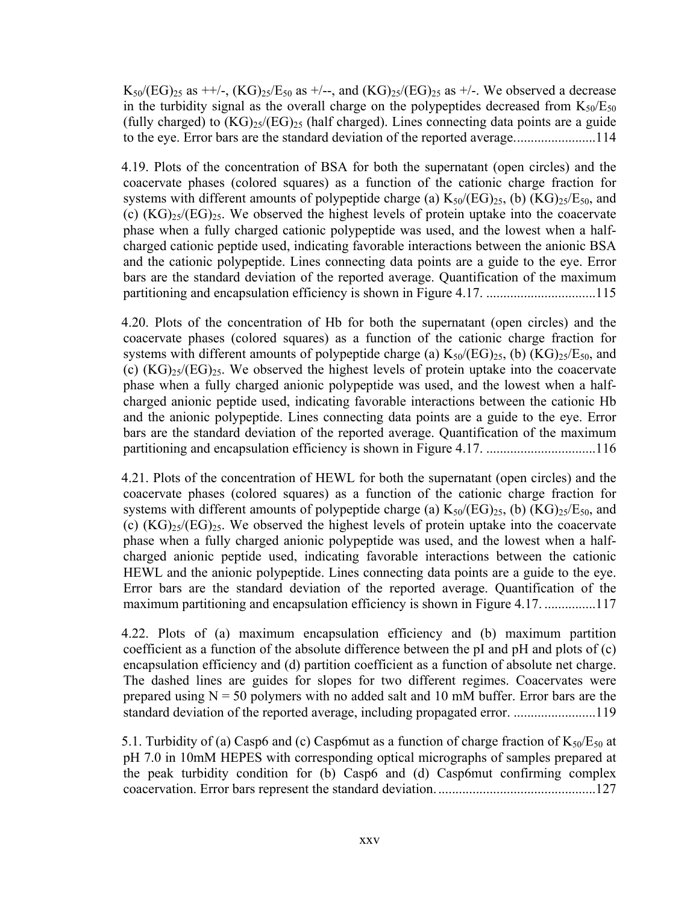$K_{50}/(EG)_{25}$  as ++/-,  $(KG)_{25}/E_{50}$  as +/--, and  $(KG)_{25}/(EG)_{25}$  as +/-. We observed a decrease in the turbidity signal as the overall charge on the polypeptides decreased from  $K_{50}/E_{50}$ (fully charged) to  $(KG)_{25}/(EG)_{25}$  (half charged). Lines connecting data points are a guide to the eye. Error bars are the standard deviation of the reported average........................114

4.19. Plots of the concentration of BSA for both the supernatant (open circles) and the coacervate phases (colored squares) as a function of the cationic charge fraction for systems with different amounts of polypeptide charge (a)  $K_{50}/(EG)_{25}$ , (b)  $(KG)_{25}/E_{50}$ , and (c)  $(KG)_{25}/(EG)_{25}$ . We observed the highest levels of protein uptake into the coacervate phase when a fully charged cationic polypeptide was used, and the lowest when a halfcharged cationic peptide used, indicating favorable interactions between the anionic BSA and the cationic polypeptide. Lines connecting data points are a guide to the eye. Error bars are the standard deviation of the reported average. Quantification of the maximum partitioning and encapsulation efficiency is shown in Figure 4.17. ................................115

4.20. Plots of the concentration of Hb for both the supernatant (open circles) and the coacervate phases (colored squares) as a function of the cationic charge fraction for systems with different amounts of polypeptide charge (a)  $K_{50}/(EG)_{25}$ , (b)  $(KG)_{25}/E_{50}$ , and (c)  $(KG)_{25}/(EG)_{25}$ . We observed the highest levels of protein uptake into the coacervate phase when a fully charged anionic polypeptide was used, and the lowest when a halfcharged anionic peptide used, indicating favorable interactions between the cationic Hb and the anionic polypeptide. Lines connecting data points are a guide to the eye. Error bars are the standard deviation of the reported average. Quantification of the maximum partitioning and encapsulation efficiency is shown in Figure 4.17. ................................116

4.21. Plots of the concentration of HEWL for both the supernatant (open circles) and the coacervate phases (colored squares) as a function of the cationic charge fraction for systems with different amounts of polypeptide charge (a)  $K_{50}/(EG)_{25}$ , (b)  $(KG)_{25}/E_{50}$ , and (c)  $(KG)_{25}/(EG)_{25}$ . We observed the highest levels of protein uptake into the coacervate phase when a fully charged anionic polypeptide was used, and the lowest when a halfcharged anionic peptide used, indicating favorable interactions between the cationic HEWL and the anionic polypeptide. Lines connecting data points are a guide to the eye. Error bars are the standard deviation of the reported average. Quantification of the maximum partitioning and encapsulation efficiency is shown in Figure 4.17. .................117

4.22. Plots of (a) maximum encapsulation efficiency and (b) maximum partition coefficient as a function of the absolute difference between the pI and pH and plots of (c) encapsulation efficiency and (d) partition coefficient as a function of absolute net charge. The dashed lines are guides for slopes for two different regimes. Coacervates were prepared using  $N = 50$  polymers with no added salt and 10 mM buffer. Error bars are the standard deviation of the reported average, including propagated error. ........................119

5.1. Turbidity of (a) Casp6 and (c) Casp6 mut as a function of charge fraction of  $K_{50}/E_{50}$  at pH 7.0 in 10mM HEPES with corresponding optical micrographs of samples prepared at the peak turbidity condition for (b) Casp6 and (d) Casp6mut confirming complex coacervation. Error bars represent the standard deviation...............................................127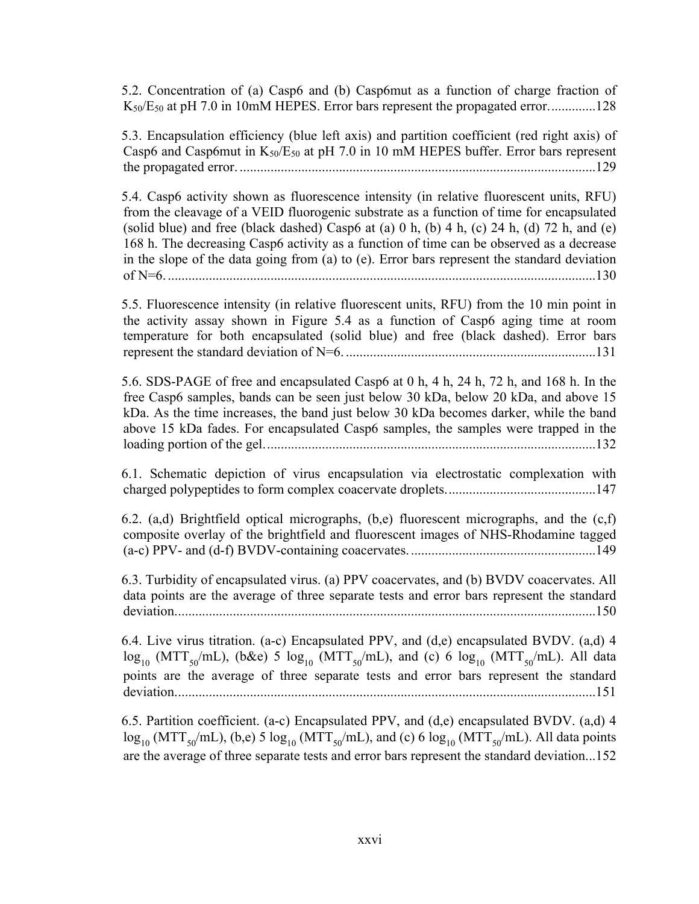5.2. Concentration of (a) Casp6 and (b) Casp6mut as a function of charge fraction of  $K_{50}/E_{50}$  at pH 7.0 in 10mM HEPES. Error bars represent the propagated error...............128

5.3. Encapsulation efficiency (blue left axis) and partition coefficient (red right axis) of Casp6 and Casp6mut in  $K_{50}/E_{50}$  at pH 7.0 in 10 mM HEPES buffer. Error bars represent the propagated error. ........................................................................................................129

5.4. Casp6 activity shown as fluorescence intensity (in relative fluorescent units, RFU) from the cleavage of a VEID fluorogenic substrate as a function of time for encapsulated (solid blue) and free (black dashed) Casp6 at (a)  $0 \text{ h}$ , (b)  $4 \text{ h}$ , (c)  $24 \text{ h}$ , (d)  $72 \text{ h}$ , and (e) 168 h. The decreasing Casp6 activity as a function of time can be observed as a decrease in the slope of the data going from (a) to (e). Error bars represent the standard deviation of N=6. .............................................................................................................................130

5.5. Fluorescence intensity (in relative fluorescent units, RFU) from the 10 min point in the activity assay shown in Figure 5.4 as a function of Casp6 aging time at room temperature for both encapsulated (solid blue) and free (black dashed). Error bars represent the standard deviation of N=6. .........................................................................131

5.6. SDS-PAGE of free and encapsulated Casp6 at 0 h, 4 h, 24 h, 72 h, and 168 h. In the free Casp6 samples, bands can be seen just below 30 kDa, below 20 kDa, and above 15 kDa. As the time increases, the band just below 30 kDa becomes darker, while the band above 15 kDa fades. For encapsulated Casp6 samples, the samples were trapped in the loading portion of the gel.................................................................................................132

6.1. Schematic depiction of virus encapsulation via electrostatic complexation with charged polypeptides to form complex coacervate droplets............................................147

6.2. (a,d) Brightfield optical micrographs, (b,e) fluorescent micrographs, and the  $(c, f)$ composite overlay of the brightfield and fluorescent images of NHS-Rhodamine tagged (a-c) PPV- and (d-f) BVDV-containing coacervates.......................................................149

6.3. Turbidity of encapsulated virus. (a) PPV coacervates, and (b) BVDV coacervates. All data points are the average of three separate tests and error bars represent the standard deviation...........................................................................................................................150

6.4. Live virus titration. (a-c) Encapsulated PPV, and (d,e) encapsulated BVDV. (a,d) 4  $\log_{10}$  (MTT<sub>50</sub>/mL), (b&e) 5  $\log_{10}$  (MTT<sub>50</sub>/mL), and (c) 6  $\log_{10}$  (MTT<sub>50</sub>/mL). All data points are the average of three separate tests and error bars represent the standard deviation...........................................................................................................................151

6.5. Partition coefficient. (a-c) Encapsulated PPV, and (d,e) encapsulated BVDV. (a,d) 4  $\log_{10} (MTT_{50}/mL)$ , (b,e) 5  $\log_{10} (MTT_{50}/mL)$ , and (c) 6  $\log_{10} (MTT_{50}/mL)$ . All data points are the average of three separate tests and error bars represent the standard deviation...152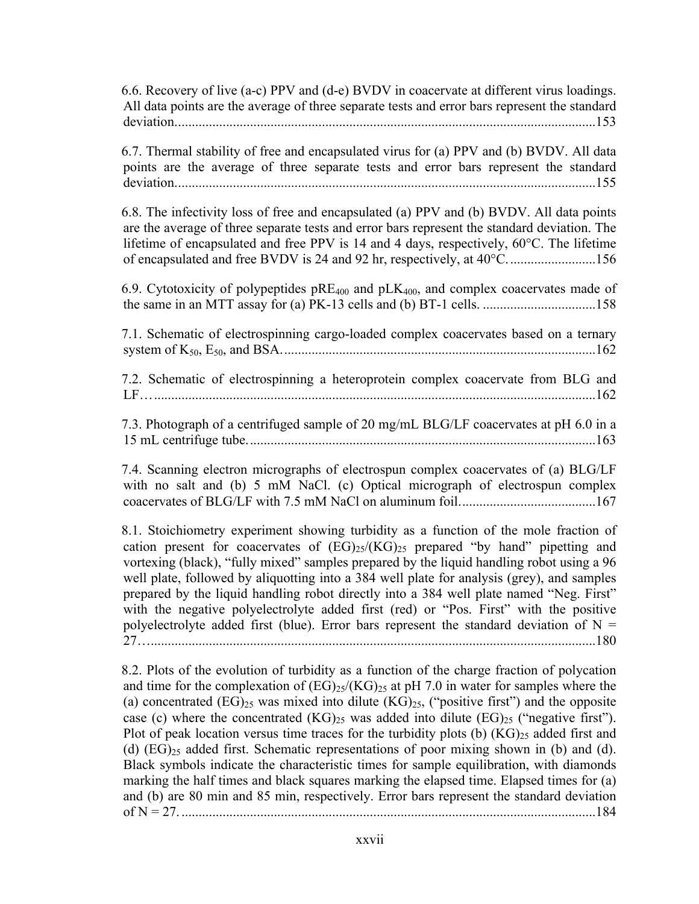6.6. Recovery of live (a-c) PPV and (d-e) BVDV in coacervate at different virus loadings. All data points are the average of three separate tests and error bars represent the standard deviation...........................................................................................................................153

6.7. Thermal stability of free and encapsulated virus for (a) PPV and (b) BVDV. All data points are the average of three separate tests and error bars represent the standard deviation...........................................................................................................................155

6.8. The infectivity loss of free and encapsulated (a) PPV and (b) BVDV. All data points are the average of three separate tests and error bars represent the standard deviation. The lifetime of encapsulated and free PPV is 14 and 4 days, respectively, 60°C. The lifetime of encapsulated and free BVDV is 24 and 92 hr, respectively, at 40°C..........................156

6.9. Cytotoxicity of polypeptides  $pRE_{400}$  and  $pLK_{400}$ , and complex coacervates made of the same in an MTT assay for (a) PK-13 cells and (b) BT-1 cells. .................................158

7.1. Schematic of electrospinning cargo-loaded complex coacervates based on a ternary system of K50, E50, and BSA............................................................................................162

7.2. Schematic of electrospinning a heteroprotein complex coacervate from BLG and LF….................................................................................................................................162

7.3. Photograph of a centrifuged sample of 20 mg/mL BLG/LF coacervates at pH 6.0 in a 15 mL centrifuge tube......................................................................................................163

7.4. Scanning electron micrographs of electrospun complex coacervates of (a) BLG/LF with no salt and (b) 5 mM NaCl. (c) Optical micrograph of electrospun complex coacervates of BLG/LF with 7.5 mM NaCl on aluminum foil........................................167

8.1. Stoichiometry experiment showing turbidity as a function of the mole fraction of cation present for coacervates of  $(EG)_{25}/(KG)_{25}$  prepared "by hand" pipetting and vortexing (black), "fully mixed" samples prepared by the liquid handling robot using a 96 well plate, followed by aliquotting into a 384 well plate for analysis (grey), and samples prepared by the liquid handling robot directly into a 384 well plate named "Neg. First" with the negative polyelectrolyte added first (red) or "Pos. First" with the positive polyelectrolyte added first (blue). Error bars represent the standard deviation of  $N =$ 27…..................................................................................................................................180

8.2. Plots of the evolution of turbidity as a function of the charge fraction of polycation and time for the complexation of  $(EG)_{25}/(KG)_{25}$  at pH 7.0 in water for samples where the (a) concentrated  $(\overline{EG})_{25}$  was mixed into dilute  $(KG)_{25}$ , ("positive first") and the opposite case (c) where the concentrated  $(KG)_{25}$  was added into dilute  $(EG)_{25}$  ("negative first"). Plot of peak location versus time traces for the turbidity plots (b)  $(KG)_{25}$  added first and (d) (EG)25 added first. Schematic representations of poor mixing shown in (b) and (d). Black symbols indicate the characteristic times for sample equilibration, with diamonds marking the half times and black squares marking the elapsed time. Elapsed times for (a) and (b) are 80 min and 85 min, respectively. Error bars represent the standard deviation of N = 27. .........................................................................................................................184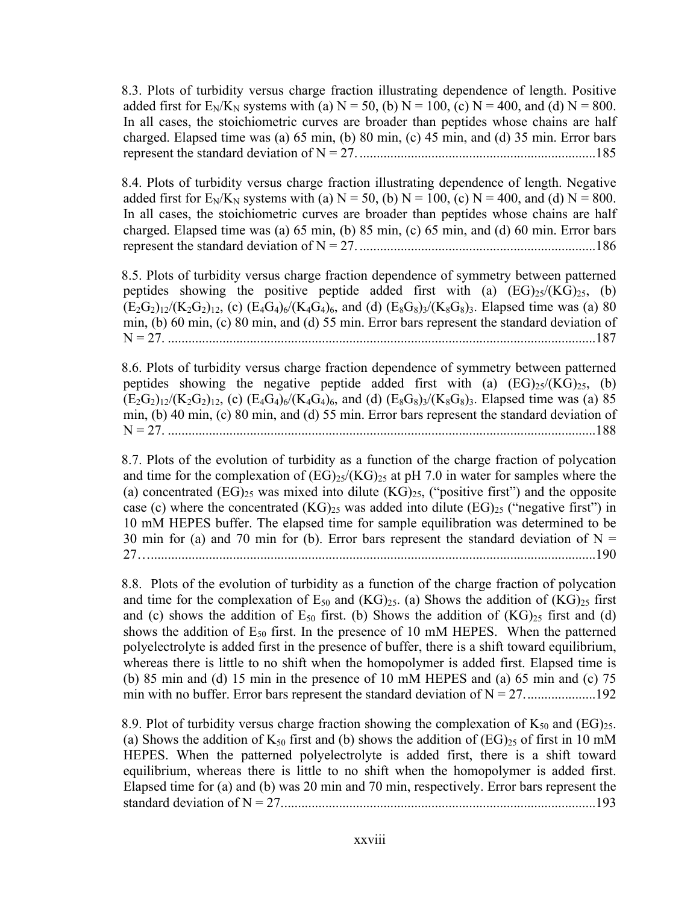8.3. Plots of turbidity versus charge fraction illustrating dependence of length. Positive added first for  $E_N/K_N$  systems with (a)  $N = 50$ , (b)  $N = 100$ , (c)  $N = 400$ , and (d)  $N = 800$ . In all cases, the stoichiometric curves are broader than peptides whose chains are half charged. Elapsed time was (a) 65 min, (b) 80 min, (c) 45 min, and (d) 35 min. Error bars represent the standard deviation of N = 27. .....................................................................185

8.4. Plots of turbidity versus charge fraction illustrating dependence of length. Negative added first for  $E_N/K_N$  systems with (a)  $N = 50$ , (b)  $N = 100$ , (c)  $N = 400$ , and (d)  $N = 800$ . In all cases, the stoichiometric curves are broader than peptides whose chains are half charged. Elapsed time was (a) 65 min, (b) 85 min, (c) 65 min, and (d) 60 min. Error bars represent the standard deviation of N = 27. .....................................................................186

8.5. Plots of turbidity versus charge fraction dependence of symmetry between patterned peptides showing the positive peptide added first with (a)  $(EG)_{25}/(KG)_{25}$ , (b)  $(E_2G_2)_{12}/(K_2G_2)_{12}$ , (c)  $(E_4G_4)_6/(K_4G_4)_6$ , and (d)  $(E_8G_8)_3/(K_8G_8)_3$ . Elapsed time was (a) 80 min, (b) 60 min, (c) 80 min, and (d) 55 min. Error bars represent the standard deviation of N = 27. .............................................................................................................................187

8.6. Plots of turbidity versus charge fraction dependence of symmetry between patterned peptides showing the negative peptide added first with (a)  $(EG)_{25}/(KG)_{25}$ , (b)  $(E_2G_2)_{12}/(K_2G_2)_{12}$ , (c)  $(E_4G_4)_6/(K_4G_4)_6$ , and (d)  $(E_8G_8)_3/(K_8G_8)_3$ . Elapsed time was (a) 85 min, (b) 40 min, (c) 80 min, and (d) 55 min. Error bars represent the standard deviation of N = 27. .............................................................................................................................188

8.7. Plots of the evolution of turbidity as a function of the charge fraction of polycation and time for the complexation of  $(EG)_{25}/(KG)_{25}$  at pH 7.0 in water for samples where the (a) concentrated  $(EG)_{25}$  was mixed into dilute  $(KG)_{25}$ , ("positive first") and the opposite case (c) where the concentrated  $(KG)_{25}$  was added into dilute  $(EG)_{25}$  ("negative first") in 10 mM HEPES buffer. The elapsed time for sample equilibration was determined to be 30 min for (a) and 70 min for (b). Error bars represent the standard deviation of  $N =$ 27…..................................................................................................................................190

8.8. Plots of the evolution of turbidity as a function of the charge fraction of polycation and time for the complexation of  $E_{50}$  and  $(KG)_{25}$ . (a) Shows the addition of  $(KG)_{25}$  first and (c) shows the addition of  $E_{50}$  first. (b) Shows the addition of  $(KG)_{25}$  first and (d) shows the addition of  $E_{50}$  first. In the presence of 10 mM HEPES. When the patterned polyelectrolyte is added first in the presence of buffer, there is a shift toward equilibrium, whereas there is little to no shift when the homopolymer is added first. Elapsed time is (b) 85 min and (d) 15 min in the presence of 10 mM HEPES and (a) 65 min and (c) 75 min with no buffer. Error bars represent the standard deviation of N = 27.....................192

8.9. Plot of turbidity versus charge fraction showing the complexation of  $K_{50}$  and (EG)<sub>25</sub>. (a) Shows the addition of  $K_{50}$  first and (b) shows the addition of  $(EG)_{25}$  of first in 10 mM HEPES. When the patterned polyelectrolyte is added first, there is a shift toward equilibrium, whereas there is little to no shift when the homopolymer is added first. Elapsed time for (a) and (b) was 20 min and 70 min, respectively. Error bars represent the standard deviation of N = 27............................................................................................193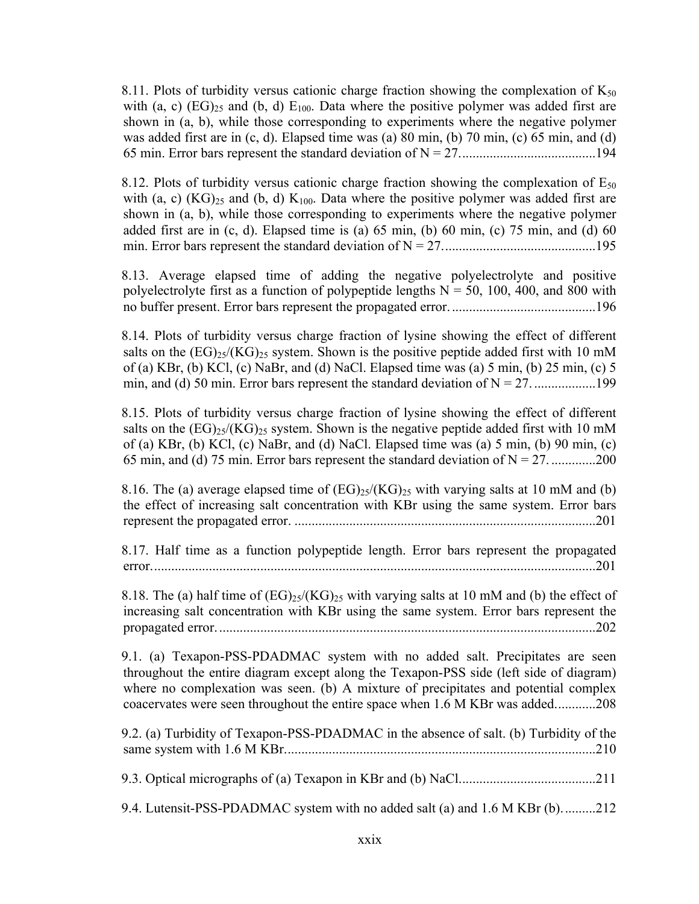8.11. Plots of turbidity versus cationic charge fraction showing the complexation of  $K_{50}$ with (a, c)  $(EG)_{25}$  and (b, d)  $E_{100}$ . Data where the positive polymer was added first are shown in (a, b), while those corresponding to experiments where the negative polymer was added first are in (c, d). Elapsed time was (a) 80 min, (b) 70 min, (c) 65 min, and (d) 65 min. Error bars represent the standard deviation of N = 27........................................194

8.12. Plots of turbidity versus cationic charge fraction showing the complexation of  $E_{50}$ with (a, c)  $(KG)_{25}$  and (b, d)  $K_{100}$ . Data where the positive polymer was added first are shown in (a, b), while those corresponding to experiments where the negative polymer added first are in  $(c, d)$ . Elapsed time is  $(a)$  65 min,  $(b)$  60 min,  $(c)$  75 min, and  $(d)$  60 min. Error bars represent the standard deviation of N = 27.............................................195

8.13. Average elapsed time of adding the negative polyelectrolyte and positive polyelectrolyte first as a function of polypeptide lengths  $N = 50$ , 100, 400, and 800 with no buffer present. Error bars represent the propagated error...........................................196

8.14. Plots of turbidity versus charge fraction of lysine showing the effect of different salts on the  $(EG)_{25}/(KG)_{25}$  system. Shown is the positive peptide added first with 10 mM of (a) KBr, (b) KCl, (c) NaBr, and (d) NaCl. Elapsed time was (a) 5 min, (b) 25 min, (c) 5 min, and (d) 50 min. Error bars represent the standard deviation of N = 27. ..................199

8.15. Plots of turbidity versus charge fraction of lysine showing the effect of different salts on the  $(EG)_{25}/(KG)_{25}$  system. Shown is the negative peptide added first with 10 mM of (a) KBr, (b) KCl, (c) NaBr, and (d) NaCl. Elapsed time was (a) 5 min, (b) 90 min, (c) 65 min, and (d) 75 min. Error bars represent the standard deviation of  $N = 27$ .................200

8.16. The (a) average elapsed time of  $(EG)_{25}/(KG)_{25}$  with varying salts at 10 mM and (b) the effect of increasing salt concentration with KBr using the same system. Error bars represent the propagated error. ........................................................................................201

8.17. Half time as a function polypeptide length. Error bars represent the propagated error..................................................................................................................................201

8.18. The (a) half time of  $(EG)_{25}/(KG)_{25}$  with varying salts at 10 mM and (b) the effect of increasing salt concentration with KBr using the same system. Error bars represent the propagated error...............................................................................................................202

9.1. (a) Texapon-PSS-PDADMAC system with no added salt. Precipitates are seen throughout the entire diagram except along the Texapon-PSS side (left side of diagram) where no complexation was seen. (b) A mixture of precipitates and potential complex coacervates were seen throughout the entire space when 1.6 M KBr was added............208

9.2. (a) Turbidity of Texapon-PSS-PDADMAC in the absence of salt. (b) Turbidity of the same system with 1.6 M KBr...........................................................................................210

9.3. Optical micrographs of (a) Texapon in KBr and (b) NaCl........................................211

9.4. Lutensit-PSS-PDADMAC system with no added salt (a) and 1.6 M KBr (b)..........212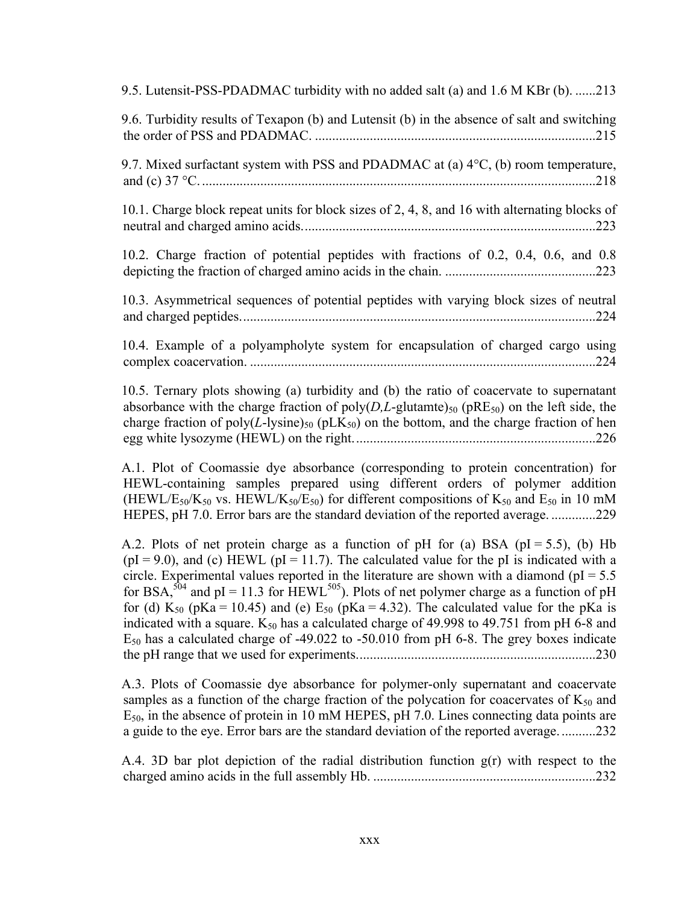9.5. Lutensit-PSS-PDADMAC turbidity with no added salt (a) and 1.6 M KBr (b). ......213

9.6. Turbidity results of Texapon (b) and Lutensit (b) in the absence of salt and switching the order of PSS and PDADMAC. ..................................................................................215

9.7. Mixed surfactant system with PSS and PDADMAC at (a) 4°C, (b) room temperature, and (c) 37 °C. ...................................................................................................................218

10.1. Charge block repeat units for block sizes of 2, 4, 8, and 16 with alternating blocks of neutral and charged amino acids......................................................................................223

10.2. Charge fraction of potential peptides with fractions of 0.2, 0.4, 0.6, and 0.8 depicting the fraction of charged amino acids in the chain. ............................................223

10.3. Asymmetrical sequences of potential peptides with varying block sizes of neutral and charged peptides........................................................................................................224

10.4. Example of a polyampholyte system for encapsulation of charged cargo using complex coacervation. .....................................................................................................224

10.5. Ternary plots showing (a) turbidity and (b) the ratio of coacervate to supernatant absorbance with the charge fraction of  $poly(D,L)$ -glutamte)<sub>50</sub> ( $pRE_{50}$ ) on the left side, the charge fraction of poly( $L$ -lysine)<sub>50</sub> ( $pLK_{50}$ ) on the bottom, and the charge fraction of hen egg white lysozyme (HEWL) on the right.......................................................................226

A.1. Plot of Coomassie dye absorbance (corresponding to protein concentration) for HEWL-containing samples prepared using different orders of polymer addition (HEWL/E<sub>50</sub>/K<sub>50</sub> vs. HEWL/K<sub>50</sub>/E<sub>50</sub>) for different compositions of K<sub>50</sub> and E<sub>50</sub> in 10 mM HEPES, pH 7.0. Error bars are the standard deviation of the reported average. .............229

A.2. Plots of net protein charge as a function of pH for (a) BSA ( $pI = 5.5$ ), (b) Hb  $(pI = 9.0)$ , and (c) HEWL ( $pI = 11.7$ ). The calculated value for the pI is indicated with a circle. Experimental values reported in the literature are shown with a diamond ( $pI = 5.5$ ) for BSA,<sup>504</sup> and pI = 11.3 for HEWL<sup>505</sup>). Plots of net polymer charge as a function of pH for (d)  $K_{50}$  (pKa = 10.45) and (e)  $E_{50}$  (pKa = 4.32). The calculated value for the pKa is indicated with a square.  $K_{50}$  has a calculated charge of 49.998 to 49.751 from pH 6-8 and  $E_{50}$  has a calculated charge of -49.022 to -50.010 from pH 6-8. The grey boxes indicate the pH range that we used for experiments......................................................................230

A.3. Plots of Coomassie dye absorbance for polymer-only supernatant and coacervate samples as a function of the charge fraction of the polycation for coacervates of  $K_{50}$  and  $E_{50}$ , in the absence of protein in 10 mM HEPES, pH 7.0. Lines connecting data points are a guide to the eye. Error bars are the standard deviation of the reported average. ..........232

A.4. 3D bar plot depiction of the radial distribution function g(r) with respect to the charged amino acids in the full assembly Hb. .................................................................232